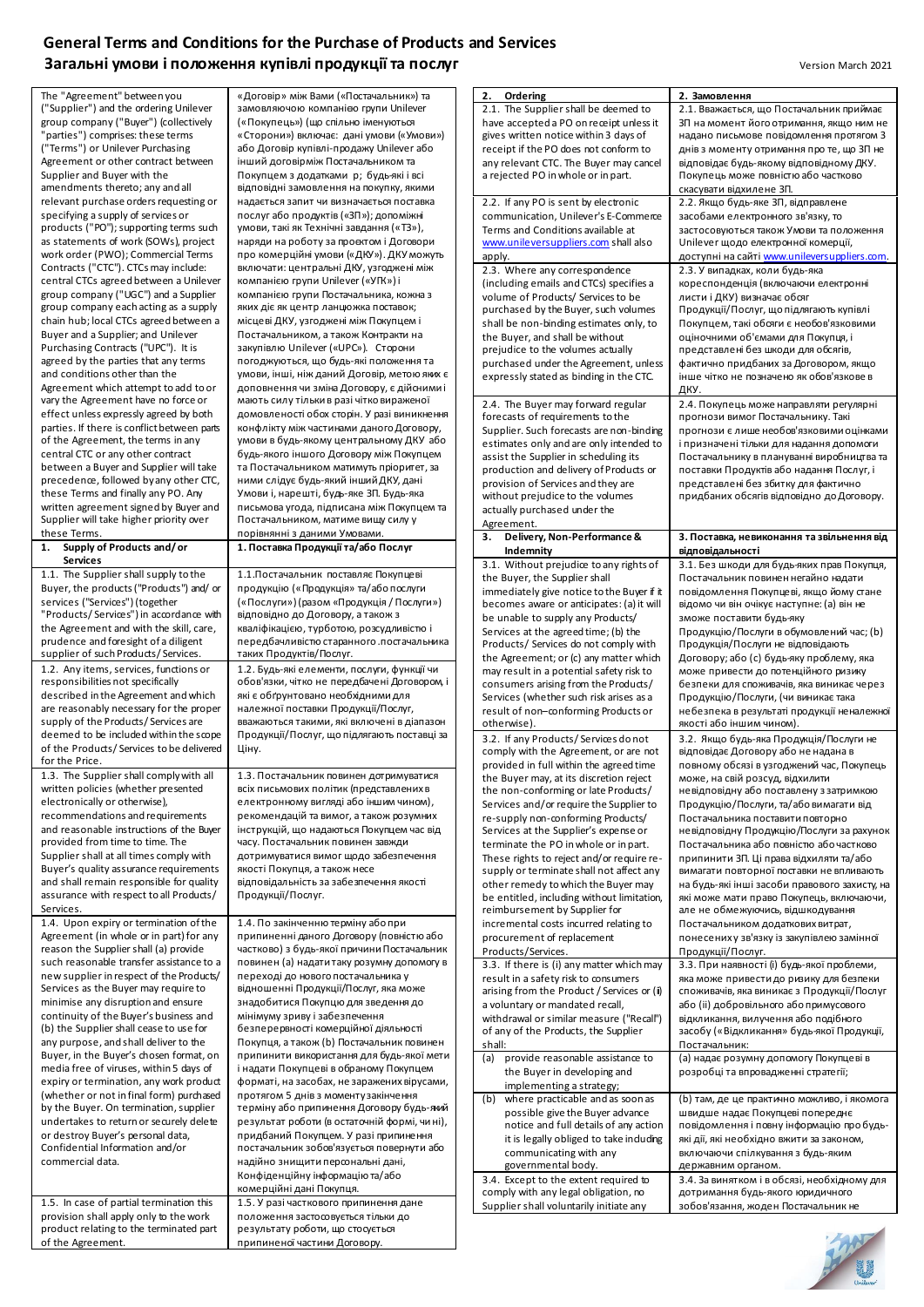## **General Terms and Conditions for the Purchase of Products and Services Загальні умови і положення купівлі продукції та послуг** Version Version March 2021

The "Agreement" between you ("Supplier") and the ordering Unilever group company ("Buyer") (collectively "parties") comprises: these terms .<br>'Terms") or Unilever Purchasing Agreement or other contract between Supplier and Buyer with the amendments thereto; any and all relevant purchase orders requesting or specifying a supply of services or products ("PO"); supporting terms such as statements of work (SOWs), project work order (PWO); Commercial Terms Contracts ("CTC"). CTCs may include: central CTCs agreed between a Unilever group company ("UGC") and a Supplier group company each acting as a supply chain hub; local CTCs agreed between a Buyer and a Supplier; and Unilever Purchasing Contracts ("UPC"). It is agreed by the parties that any terms and conditions other than the Agreement which attempt to add to or vary the Agreement have no force of effect unless expressly agreed by both parties. If there is conflict between parts of the Agreement, the terms in any central CTC or any other contract between a Buyer and Supplier will take precedence, followed by any other CTC, these Terms and finally any PO. Any written agreement signed by Buyer and Supplier will take higher priority over these Terms. **1. Supply of Products and/ or Services** 1.1. The Supplier shall supply to the Buyer, the products ("Products") and/ or services ("Services") (together "Products/ Services") in accordance with the Agreement and with the skill, care, prudence and foresight of a diligent supplier of such Products/ Services 1.2. Any items, services, functions or responsibilities not specifically described in the Agreement and which are reasonably necessary for the proper supply of the Products/ Services are deemed to be included within the scope of the Products/ Services to be delivered for the Price. Ціну. 1.3. The Supplier shall comply with all written policies (whether presented electronically or otherwise), recommendations and requirements and reasonable instructions of the Buyer provided from time to time. The Supplier shall at all times comply with Buyer's quality assurance requirements and shall remain responsible for quality assurance with respect to all Products/ **Services** 1.4. Upon expiry or termination of the Agreement (in whole or in part) for any reason the Supplier shall (a) provide such reasonable transfer assistance to a new supplier in respect of the Products/ Services as the Buyer may require to minimise any disruption and ensure

continuity of the Buyer's business and (b) the Supplier shall cease to use for any purpose, and shall deliver to the Buyer, in the Buyer's chosen format, on media free of viruses, within 5 days of expiry or termination, any work product (whether or not in final form) purchased by the Buyer. On termination, supplier undertakes to return or securely delete or destroy Buyer's personal data, Confidential Information and/or commercial data.

1.5. In case of partial termination this provision shall apply only to the work product relating to the terminated part of the Agreement.

«Договір» між Вами («Постачальник») та замовляючою компанією групи Unilever («Покупець») (що спільно іменуються «Сторони») включає: дані умови («Умови») або Договір купівлі-продажу Unilever або інший договірміж Постачальником та Покупцем з додатками p; будь-які і всі відповідні замовлення на покупку, якими надається запит чи визначається поставка послуг або продуктів («ЗП»); допоміжні умови, такі як Технічні завдання («ТЗ»), наряди на роботу за проєктом і Договори про комерційні умови («ДКУ»). ДКУ можуть включати: центральні ДКУ, узгоджені між компанією групи Unilever («УГК») і компанією групи Постачальника, кожна з яких діє як центр ланцюжка поставок; місцеві ДКУ, узгоджені між Покупцем і Постачальником, а також Контракти на закупівлю Unilever («UPC»). Сторони погоджуються, що будь-які положення та умови, інші, ніж даний Договір, метою яких є доповнення чи зміна Договору, є дійсними і .<br>кають силу тільки в разі чітко вираженої домовленості обох сторін. У разі виникнення конфлікту між частинами даного Договору, умови в будь-якому центральному ДКУ або будь-якого іншого Договору між Покупцем та Постачальником матимуть пріоритет, за ними слідує будь-який інший ДКУ, дані Умови і, нарешті, будь-яке ЗП. Будь-яка письмова угода, підписана між Покупцем та Постачальником, матиме вищу силу у порівнянні з даними Умовами. **1. Поставка Продукції та/або Послуг** 1.1.Постачальник поставляє Покупцеві продукцію («Продукція» та/або послуги («Послуги») (разом «Продукція / Послуги») відповідно до Договору, а також з кваліфікацією, турботою, розсудливістю і передбачливістю старанного .постачальника таких Продуктів/Послуг. 1.2. Будь-які елементи, послуги, функції чи обов'язки, чітко не передбачені Договором, і які є обґрунтовано необхідними для належної поставки Продукції/Послуг, вважаються такими, які включені в діапазон Продукції/Послуг, що підлягають поставці за

1.3. Постачальник повинен дотримуватися всіх письмових політик (представлених в електронному вигляді або іншим чином), рекомендацій та вимог, а також розумних інструкцій, що надаються Покупцем час від часу. Постачальник повинен завжди дотримуватися вимог щодо забезпечення якості Покупця, а також несе відповідальність за забезпечення якості Продукції/Послуг.

1.4. По закінченню терміну або при припиненні даного Договору (повністю або частково) з будь-якої причини Постачальник повинен (а) надати таку розумну допомогу в переході до нового постачальника у відношенні Продукції/Послуг, яка може знадобитися Покупцю для зведення до мінімуму зриву і забезпечення безперервності комерційної діяльності Покупця, а також (b) Постачальник повинен припинити використання для будь-якої мети і надати Покупцеві в обраному Покупцем форматі, на засобах, не заражених вірусами, протягом 5 днів з моменту закінчення терміну або припинення Договору будь-який результат роботи (в остаточній формі, чи ні), придбаний Покупцем. У разі припинення постачальник зобов'язується повернути або надійно знищити персональні дані, Конфіденційну інформацію та/або комерційні дані Покупця. 1.5. У разі часткового припинення дане положення застосовується тільки до результату роботи, що стосується

припиненої частини Договору.

| 2. Ordering                                                                                                                                                                                                          | 2. Замовлення                                                                         |
|----------------------------------------------------------------------------------------------------------------------------------------------------------------------------------------------------------------------|---------------------------------------------------------------------------------------|
| 2.1. The Supplier shall be deemed to                                                                                                                                                                                 | 2.1. Вважається, що Постачальник приймає                                              |
| have accepted a PO on receipt unless it<br>gives written notice within 3 days of                                                                                                                                     | ЗП на момент його отримання, якщо ним не<br>надано письмове повідомлення протягом 3   |
| receipt if the PO does not conform to                                                                                                                                                                                | днів з моменту отримання про те, що ЗП не                                             |
| any relevant CTC. The Buyer may cancel                                                                                                                                                                               | відповідає будь-якому відповідному ДКУ.                                               |
| a rejected PO in whole or in part.                                                                                                                                                                                   | Покупець може повністю або частково                                                   |
|                                                                                                                                                                                                                      | скасувати відхилене ЗП.                                                               |
| 2.2. If any PO is sent by electronic<br>communication, Unilever's E-Commerce                                                                                                                                         | 2.2. Якщо будь-яке ЗП, відправлене<br>засобами електронного зв'язку, то               |
| Terms and Conditions available at                                                                                                                                                                                    | застосовуються також Умови та положення                                               |
| www.unileversuppliers.com shall also                                                                                                                                                                                 | Unilever щодо електронної комерції,                                                   |
| apply.                                                                                                                                                                                                               | доступні на сайті www.unileversuppliers.com.                                          |
| 2.3. Where any correspondence                                                                                                                                                                                        | 2.3. У випадках, коли будь-яка                                                        |
| (including emails and CTCs) specifies a<br>volume of Products/ Services to be                                                                                                                                        | кореспонденція (включаючи електронні<br>листи і ДКУ) визначає обсяг                   |
| purchased by the Buyer, such volumes                                                                                                                                                                                 | Продукції/Послуг, що підлягають купівлі                                               |
| shall be non-binding estimates only, to                                                                                                                                                                              | Покупцем, такі обсяги є необов'язковими                                               |
| the Buyer, and shall be without                                                                                                                                                                                      | оціночними об'ємами для Покупця, і                                                    |
| prejudice to the volumes actually                                                                                                                                                                                    | представлені без шкоди для обсягів,                                                   |
| purchased under the Agreement, unless<br>expressly stated as binding in the CTC.                                                                                                                                     | фактично придбаних за Договором, якщо<br>інше чітко не позначено як обов'язкове в     |
|                                                                                                                                                                                                                      | ДКУ.                                                                                  |
| 2.4. The Buyer may forward regular                                                                                                                                                                                   | 2.4. Покупець може направляти регулярні                                               |
| forecasts of requirements to the                                                                                                                                                                                     | прогнози вимог Постачальнику. Такі                                                    |
| Supplier. Such forecasts are non-binding                                                                                                                                                                             | прогнози є лише необов'язковими оцінками                                              |
| estimates only and are only intended to<br>assist the Supplier in scheduling its                                                                                                                                     | і призначені тільки для надання допомоги<br>Постачальнику в плануванні виробництва та |
| production and delivery of Products or                                                                                                                                                                               | поставки Продуктів або надання Послуг, і                                              |
| provision of Services and they are                                                                                                                                                                                   | представлені без збитку для фактично                                                  |
| without prejudice to the volumes                                                                                                                                                                                     | придбаних обсягів відповідно до Договору.                                             |
| actually purchased under the                                                                                                                                                                                         |                                                                                       |
| Agreement.<br>Delivery, Non-Performance &<br>з.                                                                                                                                                                      | 3. Поставка, невиконання та звільнення від                                            |
| Indemnity                                                                                                                                                                                                            | відповідальності                                                                      |
| 3.1. Without prejudice to any rights of                                                                                                                                                                              | 3.1. Без шкоди для будь-яких прав Покупця,                                            |
| the Buyer, the Supplier shall                                                                                                                                                                                        | Постачальник повинен негайно надати                                                   |
| immediately give notice to the Buyer if it                                                                                                                                                                           | повідомлення Покупцеві, якщо йому стане                                               |
| becomes aware or anticipates: (a) it will                                                                                                                                                                            | відомо чи він очікує наступне: (а) він не<br>зможе поставити будь-яку                 |
| be unable to supply any Products/<br>Services at the agreed time; (b) the                                                                                                                                            | Продукцію/Послуги в обумовлений час; (b)                                              |
| Products/ Services do not comply with                                                                                                                                                                                | Продукція/Послуги не відповідають                                                     |
| the Agreement; or (c) any matter which                                                                                                                                                                               | Договору; або (с) будь-яку проблему, яка                                              |
| may result in a potential safety risk to                                                                                                                                                                             | може привести до потенційного ризику                                                  |
| consumers arising from the Products/<br>Services (whether such risk arises as a                                                                                                                                      | безпеки для споживачів, яка виникає через<br>Продукцію/Послуги, (чи виникає така      |
| result of non-conforming Products or                                                                                                                                                                                 | небезпека в результаті продукції неналежної                                           |
| otherwise).                                                                                                                                                                                                          | якості або іншим чином).                                                              |
| 3.2. If any Products/Services donot                                                                                                                                                                                  | 3.2. Якщо будь-яка Продукція/Послуги не                                               |
| comply with the Agreement, or are not                                                                                                                                                                                | відповідає Договору або не надана в                                                   |
| provided in full within the agreed time                                                                                                                                                                              | повному обсязі в узгоджений час, Покупець                                             |
| the Buyer may, at its discretion reject<br>the non-conforming or late Products/                                                                                                                                      | може, на свій розсуд, відхилити<br>невідповідну або поставлену з затримкою            |
| Services and/or require the Supplier to                                                                                                                                                                              | Продукцію/Послуги, та/або вимагати від                                                |
| re-supply non-conforming Products/                                                                                                                                                                                   | Постачальника поставити повторно                                                      |
| Services at the Supplier's expense or                                                                                                                                                                                | невідповідну Продукцію/Послуги за рахунок                                             |
| terminate the PO in whole or in part.<br>These rights to reject and/or require re-                                                                                                                                   | Постачальника або повністю або частково<br>припинити ЗП. Ці права відхиляти та/або    |
| supply or terminate shall not affect any                                                                                                                                                                             | вимагати повторної поставки не впливають                                              |
| other remedy to which the Buyer may                                                                                                                                                                                  | на будь-які інші засоби правового захисту, на                                         |
| be entitled, including without limitation,                                                                                                                                                                           | які може мати право Покупець, включаючи,                                              |
| reimbursement by Supplier for                                                                                                                                                                                        | але не обмежуючись, відшкодування                                                     |
| incremental costs incurred relating to<br>procurement of replacement                                                                                                                                                 | Постачальником додаткових витрат,                                                     |
|                                                                                                                                                                                                                      |                                                                                       |
|                                                                                                                                                                                                                      | понесених у зв'язку із закупівлею замінної                                            |
| Products/Services.<br>3.3. If there is (i) any matter which may                                                                                                                                                      | Продукції/Послуг.<br>3.3. При наявності (і) будь-якої проблеми,                       |
|                                                                                                                                                                                                                      | яка може привести до ризику для безпеки                                               |
|                                                                                                                                                                                                                      | споживачів, яка виникає з Продукції/Послуг                                            |
|                                                                                                                                                                                                                      | або (ii) добровільного або примусового                                                |
|                                                                                                                                                                                                                      | відкликання, вилучення або подібного                                                  |
| result in a safety risk to consumers<br>arising from the Product / Services or (ii)<br>a voluntary or mandated recall,<br>withdrawal or similar measure ("Recall")<br>of any of the Products, the Supplier<br>shall: | засобу («Відкликання» будь-якої Продукції,<br>Постачальник:                           |
| provide reasonable assistance to                                                                                                                                                                                     | (а) надає розумну допомогу Покупцеві в                                                |
| the Buyer in developing and                                                                                                                                                                                          | розробці та впровадженні стратегії;                                                   |
| implementing a strategy;                                                                                                                                                                                             |                                                                                       |
| where practicable and as soon as                                                                                                                                                                                     | (b) там, де це практично можливо, і якомога                                           |
| possible give the Buyer advance<br>notice and full details of any action                                                                                                                                             | швидше надає Покупцеві попереднє<br>повідомлення і повну інформацію пробудь-          |
| it is legally obliged to take induding                                                                                                                                                                               | які дії, які необхідно вжити за законом,                                              |
| (a)<br>(b)<br>communicating with any                                                                                                                                                                                 | включаючи спілкування з будь-яким                                                     |
| governmental body.                                                                                                                                                                                                   | державним органом.                                                                    |
| 3.4. Except to the extent required to<br>comply with any legal obligation, no                                                                                                                                        | 3.4. За винятком і в обсязі, необхідному для<br>дотримання будь-якого юридичного      |

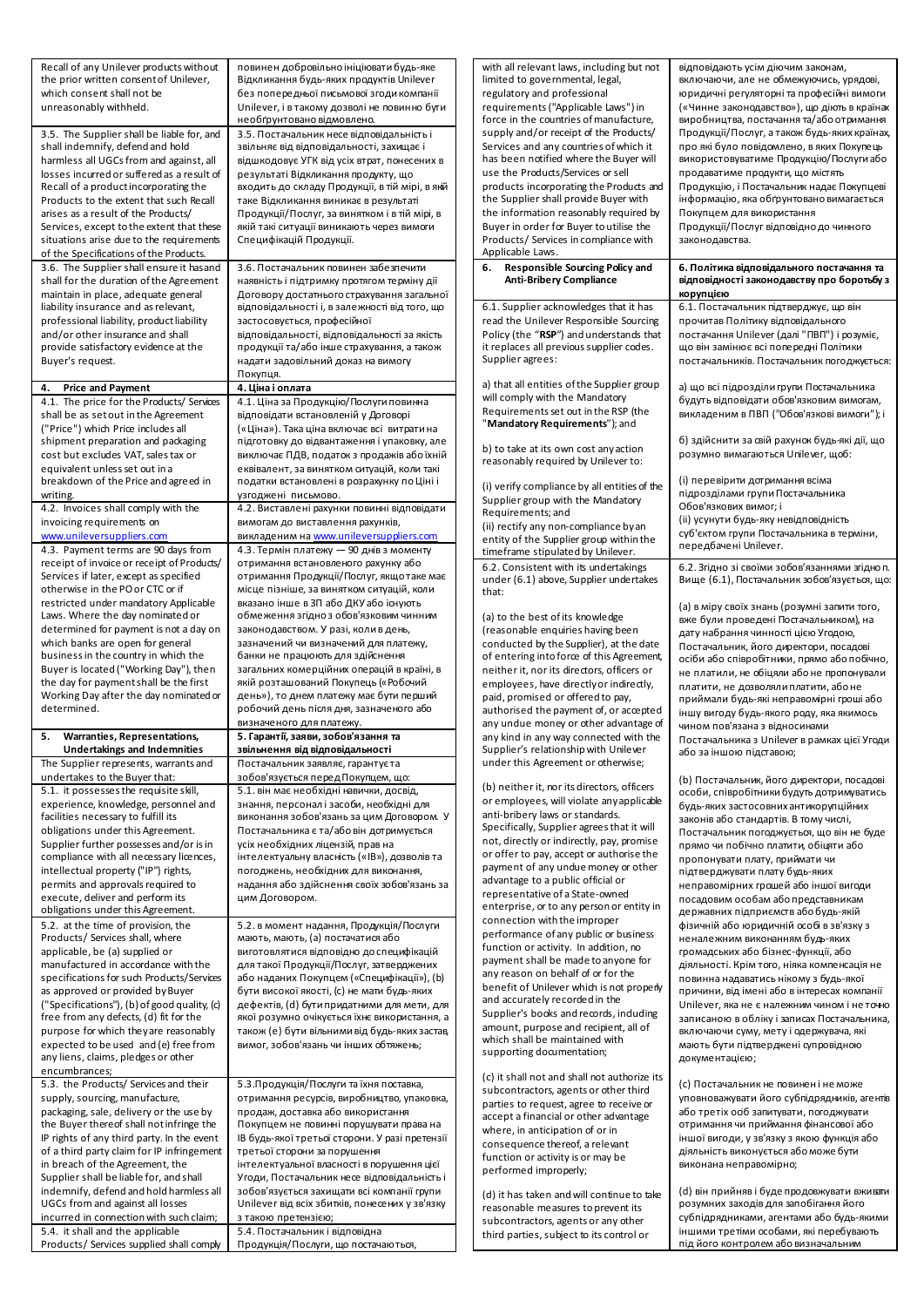| Recall of any Unilever products without<br>the prior written consent of Unilever,<br>which consent shall not be<br>unreasonably withheld.<br>3.5. The Supplier shall be liable for, and<br>shall indemnify, defend and hold<br>harmless all UGCs from and against, all<br>losses incurred or suffered as a result of<br>Recall of a product incorporating the<br>Products to the extent that such Recall<br>arises as a result of the Products/    | повинен добровільно ініціювати будь-яке<br>Відкликання будь-яких продуктів Unilever<br>без попередньої письмової згоди компанії<br>Unilever, і в такому дозволі не повинно буги<br>необґрунтовано відмовлено.<br>3.5. Постачальник несе відповідальність і<br>звільняє від відповідальності, захищає і<br>відшкодовує УГК від усіх втрат, понесених в<br>результаті Відкликання продукту, що<br>входить до складу Продукції, в тій мірі, в якій<br>таке Відкликання виникає в результаті<br>Продукції/Послуг, за винятком і в тій мірі, в | with all relevant laws, including but not<br>limited to governmental, legal,<br>regulatory and professional<br>requirements ("Applicable Laws") in<br>force in the countries of manufacture,<br>supply and/or receipt of the Products/<br>Services and any countries of which it<br>has been notified where the Buyer will<br>use the Products/Services or sell<br>products incorporating the Products and<br>the Supplier shall provide Buyer with<br>the information reasonably required by | відповідають усім діючим законам,<br>включаючи, але не обмежуючись, урядові,<br>юридичні регуляторні та професійні вимоги<br>(«Чинне законодавство»), що діють в країнах<br>виробництва, постачання та/або отримання<br>Продукції/Послуг, а також будь-яких країнах,<br>про які було повідомлено, в яких Покупець<br>використовуватиме Продукцію/Послуги або<br>продаватиме продукти, що містять<br>Продукцію, і Постачальник надає Покупцеві<br>інформацію, яка обґрунтовано вимагається<br>Покупцем для використання |
|----------------------------------------------------------------------------------------------------------------------------------------------------------------------------------------------------------------------------------------------------------------------------------------------------------------------------------------------------------------------------------------------------------------------------------------------------|-------------------------------------------------------------------------------------------------------------------------------------------------------------------------------------------------------------------------------------------------------------------------------------------------------------------------------------------------------------------------------------------------------------------------------------------------------------------------------------------------------------------------------------------|-----------------------------------------------------------------------------------------------------------------------------------------------------------------------------------------------------------------------------------------------------------------------------------------------------------------------------------------------------------------------------------------------------------------------------------------------------------------------------------------------|------------------------------------------------------------------------------------------------------------------------------------------------------------------------------------------------------------------------------------------------------------------------------------------------------------------------------------------------------------------------------------------------------------------------------------------------------------------------------------------------------------------------|
| Services, except to the extent that these<br>situations arise due to the requirements<br>of the Specifications of the Products.<br>3.6. The Supplier shall ensure it has and                                                                                                                                                                                                                                                                       | якій такі ситуації виникають через вимоги<br>Специфікацій Продукції.<br>3.6. Постачальник повинен забезпечити                                                                                                                                                                                                                                                                                                                                                                                                                             | Buyer in order for Buyer to utilise the<br>Products/ Services in compliance with<br>Applicable Laws.<br><b>Responsible Sourcing Policy and</b><br>6.                                                                                                                                                                                                                                                                                                                                          | Продукції/Послуг відповідно до чинного<br>законодавства.<br>6. Політика відповідального постачання та                                                                                                                                                                                                                                                                                                                                                                                                                  |
| shall for the duration of the Agreement<br>maintain in place, adequate general<br>liability insurance and as relevant,                                                                                                                                                                                                                                                                                                                             | наявність і підтримку протягом терміну дії<br>Договору достатнього страхування загальної<br>відповідальності і, в залежності від того, що                                                                                                                                                                                                                                                                                                                                                                                                 | <b>Anti-Bribery Compliance</b><br>6.1. Supplier acknowledges that it has                                                                                                                                                                                                                                                                                                                                                                                                                      | відповідності законодавству про боротьбу з<br>корупцією<br>6.1. Постачальник підтверджує, що він                                                                                                                                                                                                                                                                                                                                                                                                                       |
| professional liability, product liability<br>and/or other insurance and shall<br>provide satisfactory evidence at the<br>Buyer's request.                                                                                                                                                                                                                                                                                                          | застосовується, професійної<br>відповідальності, відповідальності за якість<br>продукції та/або інше страхування, а також<br>надати задовільний доказ на вимогу<br>Покупця.                                                                                                                                                                                                                                                                                                                                                               | read the Unilever Responsible Sourcing<br>Policy (the "RSP") and understands that<br>it replaces all previous supplier codes.<br>Supplier agrees:                                                                                                                                                                                                                                                                                                                                             | прочитав Політику відповідального<br>постачання Unilever (далі "ПВП") і розуміє,<br>що він замінює всі попередні Політики<br>постачальників. Постачальник погоджується:                                                                                                                                                                                                                                                                                                                                                |
| <b>Price and Payment</b><br>4.<br>4.1. The price for the Products/ Services<br>shall be as set out in the Agreement                                                                                                                                                                                                                                                                                                                                | 4. Ціна і оплата<br>4.1. Ціна за Продукцію/Послуги повинна<br>відповідати встановленій у Договорі                                                                                                                                                                                                                                                                                                                                                                                                                                         | a) that all entities of the Supplier group<br>will comply with the Mandatory<br>Requirements set out in the RSP (the                                                                                                                                                                                                                                                                                                                                                                          | а) що всі підрозділи групи Постачальника<br>будуть відповідати обов'язковим вимогам,<br>викладеним в ПВП ("Обов'язкові вимоги"); і                                                                                                                                                                                                                                                                                                                                                                                     |
| ("Price") which Price includes all<br>shipment preparation and packaging<br>cost but excludes VAT, sales tax or<br>equivalent unless set out in a                                                                                                                                                                                                                                                                                                  | («Ціна»). Така ціна включає всі витрати на<br>підготовку до відвантаження і упаковку, але<br>виключає ПДВ, податок з продажів або їхній<br>еквівалент, за винятком ситуацій, коли такі                                                                                                                                                                                                                                                                                                                                                    | "Mandatory Requirements"); and<br>b) to take at its own cost any action<br>reasonably required by Unilever to:                                                                                                                                                                                                                                                                                                                                                                                | б) здійснити за свій рахунок будь-які дії, що<br>розумно вимагаються Unilever, щоб:                                                                                                                                                                                                                                                                                                                                                                                                                                    |
| breakdown of the Price and agreed in<br>writing.<br>4.2. Invoices shall comply with the<br>invoicing requirements on<br>www.unileversuppliers.com<br>4.3. Payment terms are 90 days from                                                                                                                                                                                                                                                           | податки встановлені в розрахунку по Ціні і<br>узгоджені письмово.<br>4.2. Виставлені рахунки повинні відповідати<br>вимогам до виставлення рахунків,<br>викладеним на www.unileversuppliers.com<br>4.3. Термін платежу — 90 днів з моменту                                                                                                                                                                                                                                                                                                | (i) verify compliance by all entities of the<br>Supplier group with the Mandatory<br>Requirements; and<br>(ii) rectify any non-compliance by an<br>entity of the Supplier group within the<br>timeframe stipulated by Unilever.                                                                                                                                                                                                                                                               | (i) перевірити дотримання всіма<br>підрозділами групи Постачальника<br>Обов'язкових вимог; і<br>(ii) усунути будь-яку невідповідність<br>суб'єктом групи Постачальника в терміни,<br>передбачені Unilever.                                                                                                                                                                                                                                                                                                             |
| receipt of invoice or receipt of Products/<br>Services if later, except as specified<br>otherwise in the PO or CTC or if                                                                                                                                                                                                                                                                                                                           | отримання встановленого рахунку або<br>отримання Продукції/Послуг, якщо таке має<br>місце пізніше, за винятком ситуацій, коли                                                                                                                                                                                                                                                                                                                                                                                                             | 6.2. Consistent with its undertakings<br>under (6.1) above, Supplier undertakes<br>that:                                                                                                                                                                                                                                                                                                                                                                                                      | 6.2. Згідно зі своїми зобов'язаннями згідно п.<br>Вище (6.1), Постачальник зобов'язується, що                                                                                                                                                                                                                                                                                                                                                                                                                          |
| restricted under mandatory Applicable<br>Laws. Where the day nominated or<br>determined for payment is not a day on<br>which banks are open for general<br>business in the country in which the<br>Buyer is located ("Working Day"), then<br>the day for payment shall be the first<br>Working Day after the day nominated or<br>determined.                                                                                                       | вказано інше в ЗП або ДКУ або існують<br>обмеження згідно з обов'язковим чинним<br>законодавством. У разі, коли в день,<br>зазначений чи визначений для платежу,<br>банки не працюють для здійснення<br>загальних комерційних операцій в країні, в<br>якій розташований Покупець («Робочий<br>день»), то днем платежу має бути перший<br>робочий день після дня, зазначеного або<br>визначеного для платежу.                                                                                                                              | (a) to the best of its knowledge<br>(reasonable enquiries having been<br>conducted by the Supplier), at the date<br>of entering into force of this Agreement,<br>neither it, nor its directors, officers or<br>employees, have directly or indirectly,<br>paid, promised or offered to pay,<br>authorised the payment of, or accepted<br>any undue money or other advantage of                                                                                                                | (а) в міру своїх знань (розумні запити того,<br>вже були проведені Постачальником), на<br>дату набрання чинності цією Угодою,<br>Постачальник, його директори, посадові<br>осіби або співробітники, прямо або побічно,<br>не платили, не обіцяли або не пропонували<br>платити, не дозволяли платити, або не<br>приймали будь-які неправомірні гроші або<br>іншу вигоду будь-якого роду, яка якимось<br>чином пов'язана з відносинами                                                                                  |
| Warranties, Representations,<br>5.<br><b>Undertakings and Indemnities</b><br>The Supplier represents, warrants and                                                                                                                                                                                                                                                                                                                                 | 5. Гарантії, заяви, зобов'язання та<br>звільнення від відповідальності<br>Постачальник заявляє, гарантуєта                                                                                                                                                                                                                                                                                                                                                                                                                                | any kind in any way connected with the<br>Supplier's relationship with Unilever<br>under this Agreement or otherwise;                                                                                                                                                                                                                                                                                                                                                                         | Постачальника з Unilever в рамках цієї Угоди<br>або за іншою підставою;                                                                                                                                                                                                                                                                                                                                                                                                                                                |
| undertakes to the Buyer that:<br>5.1. it possesses the requisite skill,<br>experience, knowledge, personnel and<br>facilities necessary to fulfill its<br>obligations under this Agreement.<br>Supplier further possesses and/or is in<br>compliance with all necessary licences,<br>intellectual property ("IP") rights,<br>permits and approvals required to<br>execute, deliver and perform its<br>obligations under this Agreement.            | зобов'язується перед Покупцем, що:<br>5.1. він має необхідні навички, досвід,<br>знання, персонал і засоби, необхідні для<br>виконання зобов'язань за цим Договором. У<br>Постачальника є та/абовін дотримується<br>усіх необхідних ліцензій, прав на<br>інтелектуальну власність («IB»), дозволів та<br>погоджень, необхідних для виконання,<br>надання або здійснення своїх зобов'язань за<br>цим Договором.                                                                                                                            | (b) neither it, nor its directors, officers<br>or employees, will violate any applicable<br>anti-bribery laws or standards.<br>Specifically, Supplier agrees that it will<br>not, directly or indirectly, pay, promise<br>or offer to pay, accept or authorise the<br>payment of any undue money or other<br>advantage to a public official or<br>representative of a State-owned<br>enterprise, or to any person or entity in<br>connection with the improper                                | (b) Постачальник, його директори, посадові<br>особи, співробітники будуть дотримуватись<br>будь-яких застосовних антикорупційних<br>законів або стандартів. В тому числі,<br>Постачальник погоджується, що він не буде<br>прямо чи побічно платити, обіцяти або<br>пропонувати плату, приймати чи<br>підтверджувати плату будь-яких<br>неправомірних грошей або іншої вигоди<br>посадовим особам або представникам<br>державних підприємств або будь-якій                                                              |
| 5.2. at the time of provision, the<br>Products/ Services shall, where<br>applicable, be (a) supplied or<br>manufactured in accordance with the<br>specifications for such Products/Services<br>as approved or provided by Buyer<br>("Specifications"), (b) of good quality, (c)<br>free from any defects, (d) fit for the<br>purpose for which they are reasonably<br>expected to be used and (e) free from<br>any liens, claims, pledges or other | 5.2. в момент надання, Продукція/Послуги<br>мають, мають, (а) постачатися або<br>виготовлятися відповідно до специфікацій<br>для такої Продукції/Послуг, затверджених<br>або наданих Покупцем («Специфікації»), (b)<br>бути високої якості, (с) не мати будь-яких<br>дефектів, (d) бути придатними для мети, для<br>якої розумно очікується їхнє використання, а<br>також (е) бути вільними від будь-яких застав,<br>вимог, зобов'язань чи інших обтяжень;                                                                                | performance of any public or business<br>function or activity. In addition, no<br>payment shall be made to anyone for<br>any reason on behalf of or for the<br>benefit of Unilever which is not properly<br>and accurately recorded in the<br>Supplier's books and records, induding<br>amount, purpose and recipient, all of<br>which shall be maintained with<br>supporting documentation;                                                                                                  | фізичній або юридичній особі в зв'язку з<br>неналежним виконанням будь-яких<br>громадських або бізнес-функції, або<br>діяльності. Крім того, ніяка компенсація не<br>повинна надаватись нікому з будь-якої<br>причини, від імені або в інтересах компанії<br>Unilever, яка не є належним чином і не точно<br>записаною в обліку і записах Постачальника,<br>включаючи суму, мету і одержувача, які<br>мають бути підтверджені супровідною<br>документацією;                                                            |
| encumbrances;<br>5.3. the Products/ Services and their<br>supply, sourcing, manufacture,<br>packaging, sale, delivery or the use by<br>the Buyer there of shall not infringe the<br>IP rights of any third party. In the event<br>of a third party claim for IP infringement<br>in breach of the Agreement, the<br>Supplier shall be liable for, and shall                                                                                         | 5.3. Продукція/Послуги та їхня поставка,<br>отримання ресурсів, виробництво, упаковка,<br>продаж, доставка або використання<br>Покупцем не повинні порушувати права на<br>IB будь-якої третьої сторони. У разі претензії<br>третьої сторони за порушення<br>інтелектуальної власності в порушення цієї<br>Угоди, Постачальник несе відповідальність і                                                                                                                                                                                     | (c) it shall not and shall not authorize its<br>subcontractors, agents or other third<br>parties to request, agree to receive or<br>accept a financial or other advantage<br>where, in anticipation of or in<br>consequence thereof, a relevant<br>function or activity is or may be<br>performed improperly;                                                                                                                                                                                 | (с) Постачальник не повинен і не може<br>уповноважувати його субпідрядників, агентів<br>або третіх осіб запитувати, погоджувати<br>отримання чи приймання фінансової або<br>іншої вигоди, у зв'язку з якою функція або<br>діяльність виконується або може бути<br>виконана неправомірно;                                                                                                                                                                                                                               |
| indemnify, defend and hold harmless all<br>UGCs from and against all losses<br>incurred in connection with such claim;<br>5.4. it shall and the applicable<br>Products/ Services supplied shall comply                                                                                                                                                                                                                                             | зобов'язується захищати всі компанії групи<br>Unilever від всіх збитків, понесених у зв'язку<br>з такою претензією;<br>5.4. Постачальник і відповідна<br>Продукція/Послуги, що постачаються,                                                                                                                                                                                                                                                                                                                                              | (d) it has taken and will continue to take<br>reasonable measures to prevent its<br>subcontractors, agents or any other<br>third parties, subject to its control or                                                                                                                                                                                                                                                                                                                           | (d) він прийняв і буде продовжувати вживати<br>розумних заходів для запобігання його<br>субпідрядниками, агентами або будь-якими<br>іншими третіми особами, які перебувають<br>під його контролем або визначальним                                                                                                                                                                                                                                                                                                     |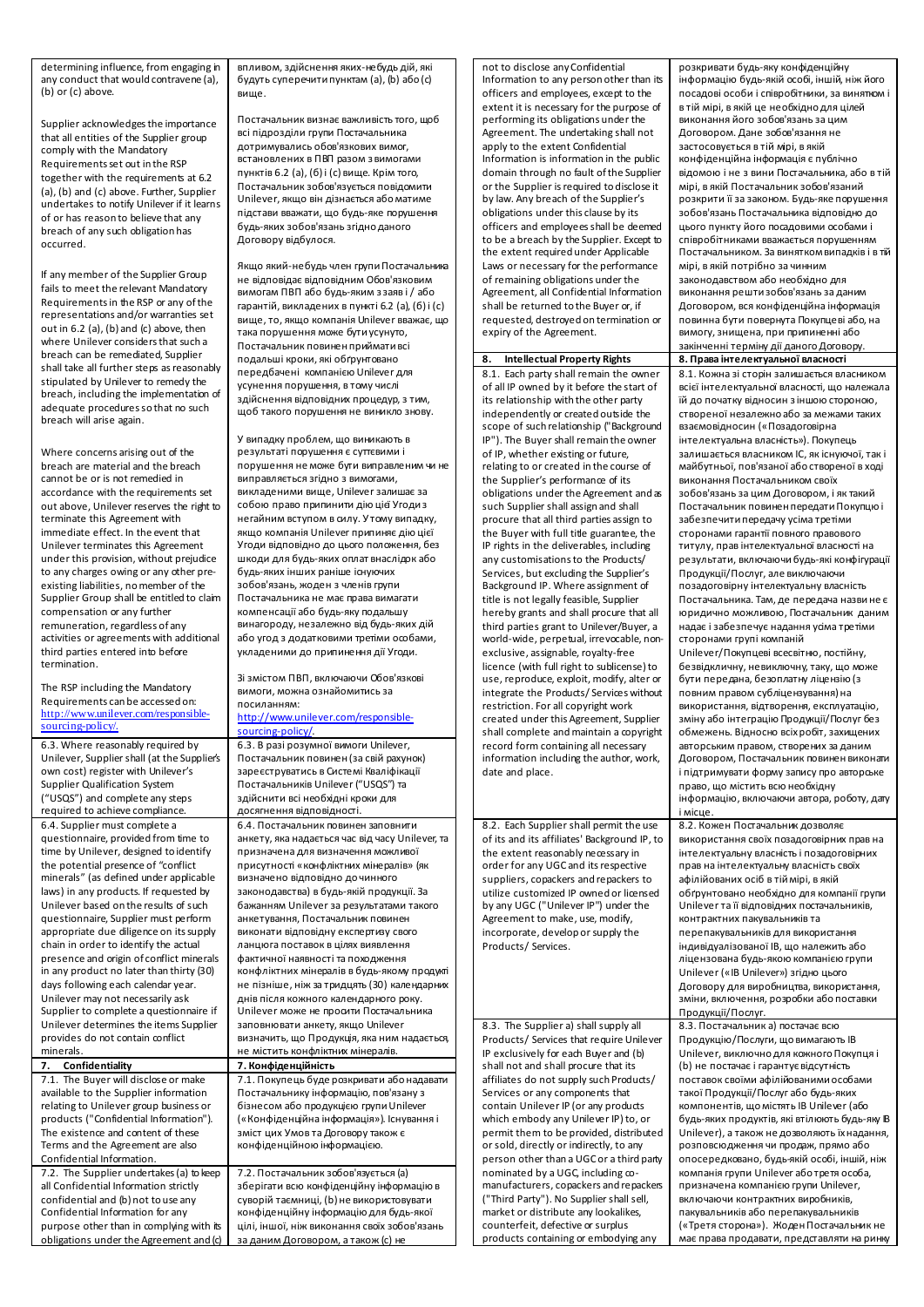determining influence, from engaging in any conduct that would contravene (a), (b) or (c) above.

Supplier acknowledges the importance that all entities of the Supplier group comply with the Mandatory Requirements set out in the RSP together with the requirements at 6.2 (a), (b) and (c) above. Further, Supplier undertakes to notify Unilever if it learns of or has reason to believe that any breach of any such obligation has occurred.

If any member of the Supplier Group fails to meet the relevant Mandatory Requirements in the RSP or any of the representations and/or warranties set out in 6.2 (a), (b) and (c) above, then where Unilever considers that such a breach can be remediated, Supplier shall take all further steps as reasonably stipulated by Unilever to remedy the breach, including the implementation of adequate procedures so that no such breach will arise again.

Where concerns arising out of the breach are material and the breach cannot be or is not remedied in accordance with the requirements set out above, Unilever reserves the right to terminate this Agreement with immediate effect. In the event that Unilever terminates this Agreement under this provision, without prejudice to any charges owing or any other preexisting liabilities, no member of the Supplier Group shall be entitled to claim compensation or any further remuneration, regardless of any activities or agreements with additional third parties entered into before termination.

The RSP including the Mandatory Requirements can be accessed on: [http://www.unilever.com/responsible](http://www.unilever.com/responsible-sourcing-policy/)sourcing-policy

6.3. Where reasonably required by Unilever, Supplier shall (at the Supplier's own cost) register with Unilever's Supplier Qualification System ("USQS") and complete any steps required to achieve compliance. 6.4. Supplier must complete a questionnaire, provided from time to time by Unilever, designed to identify the potential presence of "conflict minerals" (as defined under applicable laws) in any products. If requested by Unilever based on the results of such questionnaire, Supplier must perform appropriate due diligence on its supply chain in order to identify the actual presence and origin of conflict minerals in any product no later than thirty (30) days following each calendar year. Unilever may not necessarily ask Supplier to complete a questionnaire if Unilever determines the items Supplier provides do not contain conflict minerals.

**7. Confidentiality 7. Конфіденційність**

7.1. The Buyer will disclose or make available to the Supplier information relating to Unilever group business or products ("Confidential Information"). The existence and content of these Terms and the Agreement are also Confidential Information. 7.2. The Supplier undertakes (a) to keep all Confidential Information strictly confidential and (b) not to use any Confidential Information for any purpose other than in complying with its

obligations under the Agreement and (c)

впливом, здійснення яких-небудь дій, які будуть суперечити пунктам (а), (b) або (с) вище.

Постачальник визнає важливість того, щоб всі підрозділи групи Постачальника дотримувались обов'язкових вимог, встановлених в ПВП разом з вимогами пунктів 6.2 (а), (б) і (с) вище. Крім того, Постачальник зобов'язується повідомити Unilever, якщо він дізнається або матиме підстави вважати, що будь-яке порушення будь-яких зобов'язань згідно даного Договору відбулося.

Якщо який-небудь член групи Постачальника не відповідає відповідним Обов'язковим вимогам ПВП або будь-яким з заяв і / або гарантій, викладених в пункті 6.2 (а), (б) і (с) вище, то, якщо компанія Unilever вважає, що така порушення може бути усунуто, Постачальник повинен приймати всі подальші кроки, які обґрунтовано передбачені компанією Unilever для усунення порушення, в тому числі здійснення відповідних процедур, з тим, щоб такого порушення не виникло знову.

У випадку проблем, що виникають в результаті порушення є суттєвими і порушення не може бути виправленим чи не виправляється згідно з вимогами, викладеними вище, Unilever залишає за собою право припинити дію цієї Угоди з негайним вступом в силу. У тому випадку, якщо компанія Unilever припиняє дію цієї Угоди відповідно до цього положення, без шкоди для будь-яких оплат внаслідок або будь-яких інших раніше існуючих зобов'язань, жоден з членів групи Постачальника не має права вимагати компенсації або будь-яку подальшу винагороду, незалежно від будь-яких дій або угод з додатковими третіми особами, укладеними до припинення дії Угоди.

Зі змістом ПВП, включаючи Обов'язкові вимоги, можна ознайомитись за посиланням:

## [http://www.unilever.com/responsible](https://urldefense.proofpoint.com/v2/url?u=http-3A__www.unilever.com_responsible-2Dsourcing-2Dpolicy_&d=CwMF-Q&c=4ZIZThykDLcoWk-GVjSLm9hvvvzvGv0FLoWSRuCSs5Q&r=DG0-kGDbttCeGB1KzsKWALNmjjFFjl1me-wrRxCGvXLXPSTCHm6iQ41l7Ws7K2ul&m=w7nLpIwQk8h7UeRfn7vBkCWTVqJjQH8MfjrolrIt1PU&s=rZx7YphGcn40rdmwT6m7OonKfUwH758t_S7_jrjDFwY&e=)[sourcing-policy/](https://urldefense.proofpoint.com/v2/url?u=http-3A__www.unilever.com_responsible-2Dsourcing-2Dpolicy_&d=CwMF-Q&c=4ZIZThykDLcoWk-GVjSLm9hvvvzvGv0FLoWSRuCSs5Q&r=DG0-kGDbttCeGB1KzsKWALNmjjFFjl1me-wrRxCGvXLXPSTCHm6iQ41l7Ws7K2ul&m=w7nLpIwQk8h7UeRfn7vBkCWTVqJjQH8MfjrolrIt1PU&s=rZx7YphGcn40rdmwT6m7OonKfUwH758t_S7_jrjDFwY&e=).

6.3. В разі розумної вимоги Unilever, Постачальник повинен (за свій рахунок) зареєструватись в Системі Кваліфікації Постачальників Unilever ("USQS") та здійснити всі необхідні кроки для досягнення відповідності.

6.4. Постачальник повинен заповнити анкету, яка надається час від часу Unilever, та призначена для визначення можливої присутності «конфліктних мінералів» (як визначено відповідно до чинного законодавства) в будь-якій продукції. За бажанням Unilever за результатами такого анкетування, Постачальник повинен виконати відповідну експертизу свого ланцюга поставок в цілях виявлення фактичної наявності та походження конфліктних мінералів в будь-якому продукті не пізніше, ніж за тридцять (30) календарних днів після кожного календарного року. Unilever може не просити Постачальника заповнювати анкету, якщо Unilever визначить, що Продукція, яка ним надається, не містить конфліктних мінералів.

7.1. Покупець буде розкривати або надават Постачальнику інформацію, пов'язану з бізнесом або продукцією групи Unilever («Конфіденційна інформація»). Існування і зміст цих Умов та Договору також є конфіденційною інформацією.

7.2. Постачальник зобов'язується (a) зберігати всю конфіденційну інформацію в суворій таємниці, (b) не використовувати конфіденційну інформацію для будь-якої цілі, іншої, ніж виконання своїх зобов'язань за даним Договором, а також (c) не

not to disclose any Confidential Information to any person other than its officers and employees, except to the extent it is necessary for the purpose of performing its obligations under the Agreement. The undertaking shall not apply to the extent Confidential Information is information in the public domain through no fault of the Supplier or the Supplier is required to disclose it by law. Any breach of the Supplier's obligations under this clause by its officers and employees shall be deemed to be a breach by the Supplier. Except to the extent required under Applicable Laws or necessary for the performance of remaining obligations under the Agreement, all Confidential Information shall be returned to the Buyer or, if requested, destroyed on termination or expiry of the Agreement.

8.1. Each party shall remain the owner of all IP owned by it before the start of its relationship with the other party independently or created outside the scope of such relationship ("Background IP"). The Buyer shall remain the owner of IP, whether existing or future, relating to or created in the course of the Supplier's performance of its obligations under the Agreement and as such Supplier shall assign and shall procure that all third parties assign to the Buyer with full title guarantee, the IP rights in the deliverables, including any customisations to the Products/ Services, but excluding the Supplier's Background IP. Where assignment of title is not legally feasible, Supplier hereby grants and shall procure that all third parties grant to Unilever/Buyer, a world-wide, perpetual, irrevocable, nonexclusive, assignable, royalty-free licence (with full right to sublicense) to use, reproduce, exploit, modify, alter or integrate the Products/ Services without restriction. For all copyright work created under this Agreement, Supplier shall complete and maintain a copyright record form containing all necessary information including the author, work, date and place.

8.2. Each Supplier shall permit the use of its and its affiliates' Background IP, to the extent reasonably necessary in order for any UGC and its respective suppliers, copackers and repackers to utilize customized IP owned or licensed by any UGC ("Unilever IP") under the Agreement to make, use, modify, incorporate, develop or supply the Products/ Services.

8.3. The Supplier a) shall supply all Products/ Services that require Unilever IP exclusively for each Buyer and (b) shall not and shall procure that its affiliates do not supply such Products/ Services or any components that contain Unilever IP (or any products which embody any Unilever IP) to, or permit them to be provided, distributed or sold, directly or indirectly, to any person other than a UGC or a third party nominated by a UGC, including comanufacturers, copackers and repackers ("Third Party"). No Supplier shall sell, market or distribute any lookalikes, counterfeit, defective or surplus products containing or embodying any

розкривати будь-яку конфіденційну інформацію будь-якій особі, іншій, ніж його посадові особи і співробітники, за винятком і в тій мірі, в якій це необхідно для цілей виконання його зобов'язань за цим Договором. Дане зобов'язання не застосовується в тій мірі, в якій конфіденційна інформація є публічно відомою і не з вини Постачальника, або в тій мірі, в якій Постачальник зобов'язаний розкрити її за законом. Будь-яке порушення зобов'язань Постачальника відповідно до цього пункту його посадовими особами і співробітниками вважається порушенням Постачальником. За винятком випадків і в тій мірі, в якій потрібно за чинним законодавством або необхідно для виконання решти зобов'язань за даним Договором, вся конфіденційна інформація повинна бути повернута Покупцеві або, на вимогу, знищена, при припиненні або закінченні терміну дії даного Договору. **8. Intellectual Property Rights 8. Права інтелектуальної власності**  8.1. Кожна зі сторін залишається власником всієї інтелектуальної власності, що належала їй до початку відносин з іншою стороною, створеної незалежно або за межами таких взаємовідносин («Позадоговірна інтелектуальна власність»). Покупець залишається власником ІС, як існуючої, так і майбутньої, пов'язаної або створеної в ході виконання Постачальником своїх зобов'язань за цим Договором, і як такий Постачальник повинен передати Покупцю і забезпечити передачу усіма третіми сторонами гарантії повного правового титулу, прав інтелектуальної власності на результати, включаючи будь-які конфігурації Продукції/Послуг, але виключаючи позадоговірну інтелектуальну власність Постачальника. Там, де передача назвине є юридично можливою, Постачальник даним надає і забезпечує надання усіма третіми сторонами групі компаній Unilever/Покупцеві всесвітню, постійну, безвідкличну, невиключну, таку, що може бути передана, безоплатну ліцензію (з повним правом субліцензування) на використання, відтворення, експлуатацію, зміну або інтеграцію Продукції/Послуг без обмежень. Відносно всіх робіт, захищених авторським правом, створених за даним Договором, Постачальник повинен виконати і підтримувати форму запису про авторське право, що містить всю необхідну інформацію, включаючи автора, роботу, дату і місце. 8.2. Кожен Постачальник дозволяє використання своїх позадоговірних прав на інтелектуальну власність і позадоговірних прав на інтелектуальну власність своїх афілійованих осіб в тій мірі, в якій обґрунтовано необхідно для компанії групи Unilever та її відповідних постачальників, контрактних пакувальників та перепакувальників для використання індивідуалізованої ІВ, що належить або ліцензована будь-якою компанією групи Unilever («ІВ Unilever») згідно цього Договору для виробництва, використання, зміни, включення, розробки або поставки Продукції/Послуг. 8.3. Постачальник а) постачає всю Продукцію/Послуги, що вимагають ІВ Unilever, виключно для кожного Покупця і (b) не постачає і гарантує відсутність поставок своїми афілійованими особами такої Продукції/Послуг або будь-яких компонентів, що містять ІВ Unilever (або будь-яких продуктів, які втілюють будь-яку ІВ Unilever), а також не дозволяють їх надання, розповсюдження чи продаж, прямо або опосередковано, будь-якій особі, іншій, ніж компанія групи Unilever або третя особа, призначена компанією групи Unilever, включаючи контрактних виробників,

пакувальників або перепакувальників («Третя сторона»). Жоден Постачальник не має права продавати, представляти на ринку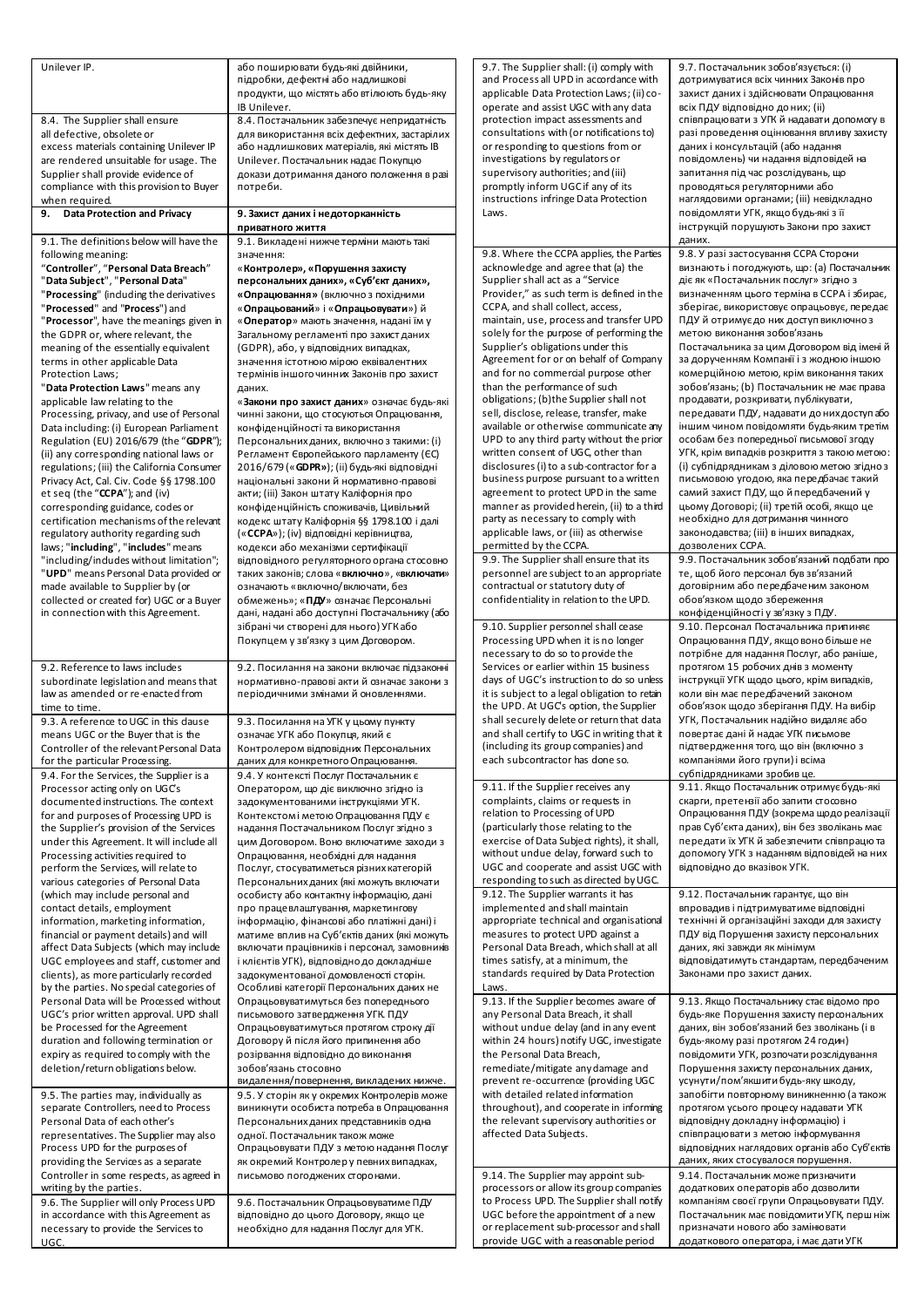| Unilever IP.                                                                      | або поширювати будь-які двійники,                                                          | 9.7. Th          |
|-----------------------------------------------------------------------------------|--------------------------------------------------------------------------------------------|------------------|
|                                                                                   | підробки, дефектні або надлишкові                                                          | and Pr           |
|                                                                                   | продукти, що містять або втілюють будь-яку                                                 | applica          |
|                                                                                   | IB Unilever.                                                                               | operat           |
| 8.4. The Supplier shall ensure                                                    | 8.4. Постачальник забезпечує непридатність                                                 | protec           |
| all defective, obsolete or                                                        | для використання всіх дефектних, застарілих                                                | consul           |
| excess materials containing Unilever IP                                           | або надлишкових матеріалів, які містять IB                                                 | or resp          |
| are rendered unsuitable for usage. The                                            | Unilever. Постачальник надає Покупцю                                                       | investi          |
| Supplier shall provide evidence of                                                | докази дотримання даного положення в разі                                                  | supen            |
| compliance with this provision to Buyer<br>when required.                         | потреби.                                                                                   | promp<br>instruo |
| <b>Data Protection and Privacy</b><br>9.                                          |                                                                                            | Laws.            |
|                                                                                   | 9. Захист даних і недоторканність<br>приватного життя                                      |                  |
| 9.1. The definitions below will have the                                          | 9.1. Викладені нижче терміни мають такі                                                    |                  |
| following meaning:                                                                | значення:                                                                                  | 9.8.W            |
| "Controller", "Personal Data Breach"                                              | «Контролер», «Порушення захисту                                                            | acknov           |
| "Data Subject", "Personal Data"                                                   | персональних даних», «Суб'єкт даних»,                                                      | Suppli           |
| "Processing" (including the derivatives                                           | «Опрацювання» (включно з похідними                                                         | Provid           |
| "Processed" and "Process") and                                                    | «Опрацьований» і «Опрацьовувати») й                                                        | CCPA,            |
| "Processor", have the meanings given in                                           | « <b>Оператор</b> » мають значення, надані їм у                                            | mainta           |
| the GDPR or, where relevant, the                                                  | Загальному регламенті про захист даних                                                     | solely           |
| meaning of the essentially equivalent                                             | (GDPR), або, у відповідних випадках,                                                       | Suppli           |
| terms in other applicable Data                                                    | значення істотною мірою еквівалентних                                                      | Agreer           |
| Protection Laws;                                                                  | термінів іншого чинних Законів про захист                                                  | and fo           |
| "Data Protection Laws" means any                                                  | даних.                                                                                     | than th          |
| applicable law relating to the                                                    | «Закони про захист даних» означає будь-які                                                 | obligat          |
| Processing, privacy, and use of Personal                                          | чинні закони, що стосуються Опрацювання,                                                   | sell, di         |
| Data including: (i) European Parliament                                           | конфіденційності та використання                                                           | availab          |
| Regulation (EU) 2016/679 (the "GDPR");                                            | Персональних даних, включно з такими: (i)                                                  | UPD to           |
| (ii) any corresponding national laws or                                           | Регламент Європейського парламенту (ЄС)                                                    | writter          |
| regulations; (iii) the California Consumer                                        | 2016/679 (« <b>GDPR»</b> ); (іі) будь-які відповідні                                       | disclos          |
| Privacy Act, Cal. Civ. Code §§ 1798.100                                           | національні закони й нормативно-правові                                                    | busine           |
| et seq (the "CCPA"); and (iv)                                                     | акти; (iii) Закон штату Каліфорнія про                                                     | agreer           |
| corresponding guidance, codes or                                                  | конфіденційність споживачів, Цивільний                                                     | manne<br>party a |
| certification mechanisms of the relevant                                          | кодекс штату Каліфорнія §§ 1798.100 і далі                                                 | applica          |
| regulatory authority regarding such<br>laws; "including", "includes" means        | («ССРА»); (iv) відповідні керівництва,                                                     | permit           |
| "including/indudes without limitation";                                           | кодекси або механізми сертифікації<br>відповідного регуляторного органа стосовно           | 9.9. Th          |
| "UPD" means Personal Data provided or                                             | таких законів; слова «включно», «включати»                                                 | persor           |
| made available to Supplier by (or                                                 | означають «включно/включати, без                                                           | contra           |
| collected or created for) UGC or a Buyer                                          | обмежень»; «ПДУ» означає Персональні                                                       | confid           |
| in connection with this Agreement.                                                | дані, надані або доступні Постачальнику (або                                               |                  |
|                                                                                   | зібрані чи створені для нього) УГК або                                                     | 9.10.5           |
|                                                                                   |                                                                                            | Proces           |
|                                                                                   | Покупцем у зв'язку з цим Договором.                                                        |                  |
|                                                                                   |                                                                                            | neces:           |
| 9.2. Reference to laws includes                                                   | 9.2. Посилання на закони включає підзаконні                                                | Service          |
| subordinate legislation and means that                                            | нормативно-правові акти й означає закони з                                                 | days o           |
| law as amended or re-enacted from                                                 | періодичними змінами й оновленнями.                                                        | it is su         |
| time to time.                                                                     |                                                                                            | the UF           |
| 9.3. A reference to UGC in this dause                                             | 9.3. Посилання на УГК у цьому пункту                                                       | shall s          |
| means UGC or the Buyer that is the                                                | означає УГК або Покупця, який є                                                            | and sh           |
| Controller of the relevant Personal Data                                          | Контролером відповідних Персональних                                                       | (incluc          |
| for the particular Processing.                                                    | даних для конкретного Опрацювання.                                                         | each s           |
| 9.4. For the Services, the Supplier is a                                          | 9.4. У контексті Послуг Постачальник є                                                     |                  |
| Processor acting only on UGC's                                                    | Оператором, що діє виключно згідно із                                                      | 9.11.1           |
| documented instructions. The context                                              | задокументованими інструкціями УГК.                                                        | compla           |
| for and purposes of Processing UPD is                                             | Контекстомі метою Опрацювання ПДУ є                                                        | relatio          |
| the Supplier's provision of the Services                                          | надання Постачальником Послуг згідно з                                                     | (partic          |
| under this Agreement. It will include all                                         | цим Договором. Воно включатиме заходи з                                                    | exerci:          |
| Processing activities required to                                                 | Опрацювання, необхідні для надання                                                         | withou<br>UGC a  |
| perform the Services, will relate to                                              | Послуг, стосуватиметься різних категорій                                                   |                  |
| various categories of Personal Data                                               | Персональних даних (які можуть включати                                                    | respor<br>9.12.1 |
| (which may include personal and                                                   | особисту або контактну інформацію, дані                                                    |                  |
| contact details, employment                                                       | про працевлаштування, маркетингову                                                         | impler           |
| information, marketing information,                                               | інформацію, фінансові або платіжні дані) і                                                 | approp<br>measu  |
| financial or payment details) and will<br>affect Data Subjects (which may include | матиме вплив на Суб'єктів даних (які можуть<br>включати працівників і персонал, замовників | Persor           |
| UGC employees and staff, customer and                                             | і клієнтів УГК), відповідно до докладніше                                                  | times :          |
| clients), as more particularly recorded                                           | задокументованої домовленості сторін.                                                      | standa           |
| by the parties. No special categories of                                          | Особливі категорії Персональних даних не                                                   | Laws.            |
| Personal Data will be Processed without                                           | Опрацьовуватимуться без попереднього                                                       | 9.13.1           |
| UGC's prior written approval. UPD shall                                           | письмового затвердження УГК. ПДУ                                                           | any Pe           |
| be Processed for the Agreement                                                    | Опрацьовуватимуться протягом строку дії                                                    | withou           |
| duration and following termination or                                             | Договору й після його припинення або                                                       | within           |
| expiry as required to comply with the                                             | розірвання відповідно до виконання                                                         | the Pe           |
| deletion/return obligations below.                                                | зобов'язань стосовно                                                                       | remed            |
|                                                                                   | видалення/повернення, викладених нижче.                                                    | prever           |
| 9.5. The parties may, individually as                                             | 9.5. У сторін як у окремих Контролерів може                                                | with d           |
| separate Controllers, need to Process                                             | виникнути особиста потреба в Опрацювання                                                   | throug           |
| Personal Data of each other's                                                     | Персональних даних представників одна                                                      | the rel          |
| representatives. The Supplier may also                                            | одної. Постачальник також може                                                             | affect           |
| Process UPD for the purposes of                                                   | Опрацьовувати ПДУ з метою надання Послуг                                                   |                  |
| providing the Services as a separate                                              | як окремий Контролерупевних випадках,                                                      |                  |
| Controller in some respects, as agreed in                                         | письмово погоджених сторонами.                                                             | 9.14.1           |
| writing by the parties.                                                           |                                                                                            | proces           |
| 9.6. The Supplier will only Process UPD<br>in accordance with this Agreement as   | 9.6. Постачальник Опрацьовуватиме ПДУ<br>відповідно до цього Договору, якщо це             | to Pro<br>UGC b  |

UGC.

9.7. The Supplier shall: (i) comply with  $rocess$  all UPD in accordance with able Data Protection Laws; (ii) cote and assist UGC with any data ction impact assessments and Itations with (or notifications to) ponding to questions from or igations by regulators or visory authorities; and (iii) otly inform UGC if any of its ctions infringe Data Protection 9.7. Постачальник зобов'язується: (i) дотримуватися всіх чинних Законів про захист даних і здійснювати Опрацювання всіх ПДУ відповідно до них; (ii) співпрацювати з УГК й надавати допомогу в разі проведення оцінювання впливу захисту даних і консультацій (або надання повідомлень) чи надання відповідей на запитання під час розслідувань, що проводяться регуляторними або наглядовими органами; (iii) невідкладно повідомляти УГК, якщо будь-які з її інструкцій порушують Закони про захист даних. 9.8. Where the CCPA applies, the Parties wledge and agree that (a) the ier shall act as a "Service Provider," as such term is defined in the and shall collect, access, ain, use, process and transfer UPD for the purpose of performing the ier's obligations under this ment for or on behalf of Company ir no commercial purpose other he performance of such tions; (b)the Supplier shall not isclose, release, transfer, make le or otherwise communicate any  $\alpha$  any third party without the prior n consent of UGC, other than sures (i) to a sub-contractor for a ess purpose pursuant to a written ment to protect UPD in the same er as provided herein, (ii) to a third as necessary to comply with able laws, or (iii) as otherwise tted by the CCPA 9.8. У разі застосування CCPA Сторони визнають і погоджують, що: (a) Постачальник діє як «Постачальник послуг» згідно з визначенням цього терміна в CCPA і збирає, зберігає, використовує опрацьовує, передає ПДУ й отримує до них доступ виключно з метою виконання зобов'язань Постачальника за цим Договором від імені й за дорученням Компанії і з жодною іншою комерційною метою, крім виконання таких зобов'язань; (b) Постачальник не має права продавати, розкривати, публікувати, передавати ПДУ, надавати до них доступ або іншим чином повідомляти будь-яким третім особам без попередньої письмової згоду УГК, крім випадків розкриття з такою метою: (i) субпідрядникам з діловою метою згідно з письмовою угодою, яка передбачає такий самий захист ПДУ, що й передбачений у цьому Договорі; (ii) третій особі, якщо це необхідно для дотримання чинного законодавства; (iii) в інших випадках, дозволених CCPA. e Supplier shall ensure that its nnel are subject to an appropriate actual or statutory duty of dentiality in relation to the UPD. 9.9. Постачальник зобов'язаний подбати про те, щоб його персонал був зв'язаний договірним або передбаченим законом обов'язком щодо збереження конфіденційності у зв'язку з ПДУ. Supplier personnel shall cease ssing UPD when it is no longer sary to do so to provide the es or earlier within 15 business of UGC's instruction to do so unless ibiect to a legal obligation to retain <sup>2</sup>D. At UGC's option, the Supplier ecurely delete or return that data all certify to UGC in writing that it ding its group companies) and ubcontractor has done so. 9.10. Персонал Постачальника припиняє Опрацювання ПДУ, якщо воно більше не потрібне для надання Послуг, або раніше, протягом 15 робочих днів з моменту інструкції УГК щодо цього, крім випадків, коли він має передбачений законом обов'язок щодо зберігання ПДУ. На вибір УГК, Постачальник надійно видаляє або повертає дані й надає УГК письмове підтвердження того, що він (включно з компаніями його групи) і всіма субпідрядниками зробив це. f the Supplier receives any aints, claims or requests in n to Processing of UPD ularly those relating to the ise of Data Subject rights), it shall, ut undue delay, forward such to nd cooperate and assist UGC with  $n$ ding to such as directed by UG 9.11. Якщо Постачальник отримує будь-які скарги, претензії або запити стосовно Опрацювання ПДУ (зокрема щодо реалізації прав Суб'єкта даних), він без зволікань має передати їх УГК й забезпечити співпрацю та допомогу УГК з наданням відповідей на них відповідно до вказівок УГК. The Supplier warrants it has mented and shall maintain priate technical and organisational measures to protect UPD against a nal Data Breach, which shall at all satisfy, at a minimum, the ards required by Data Protection 9.12. Постачальник гарантує, що він впровадив і підтримуватиме відповідні технічні й організаційні заходи для захисту ПДУ від Порушення захисту персональних даних, які завжди як мінімум відповідатимуть стандартам, передбаченим Законами про захист даних. f the Supplier becomes aware of **Prsonal Data Breach, it shall** ut undue delay (and in any event 24 hours) notify UGC, investigate tsonal Data Breach, liate/mitigate any damage and nt re-occurrence (providing UGC letailed related information thout), and cooperate in informing levant supervisory authorities or ed Data Subjects. 9.13. Якщо Постачальнику стає відомо про будь-яке Порушення захисту персональних даних, він зобов'язаний без зволікань (і в будь-якому разі протягом 24 годин) повідомити УГК, розпочати розслідування Порушення захисту персональних даних, усунути/пом'якшити будь-яку шкоду, запобігти повторному виникненню (а також протягом усього процесу надавати УГК відповідну докладну інформацію) і співпрацювати з метою інформування відповідних наглядових органів або Суб'єктів даних, яких стосувалося порушення. The Supplier may appoint subssors or allow its group companies cess UPD. The Supplier shall notify 9.14. Постачальник може призначити додаткових операторів або дозволити компаніям своєї групи Опрацьовувати ПДУ.

efore the appointment of a new lacement sub-processor and shall provide UGC with a reasonable period

Постачальник має повідомити УГК, перш ніж призначати нового або замінювати додаткового оператора, і має дати УГК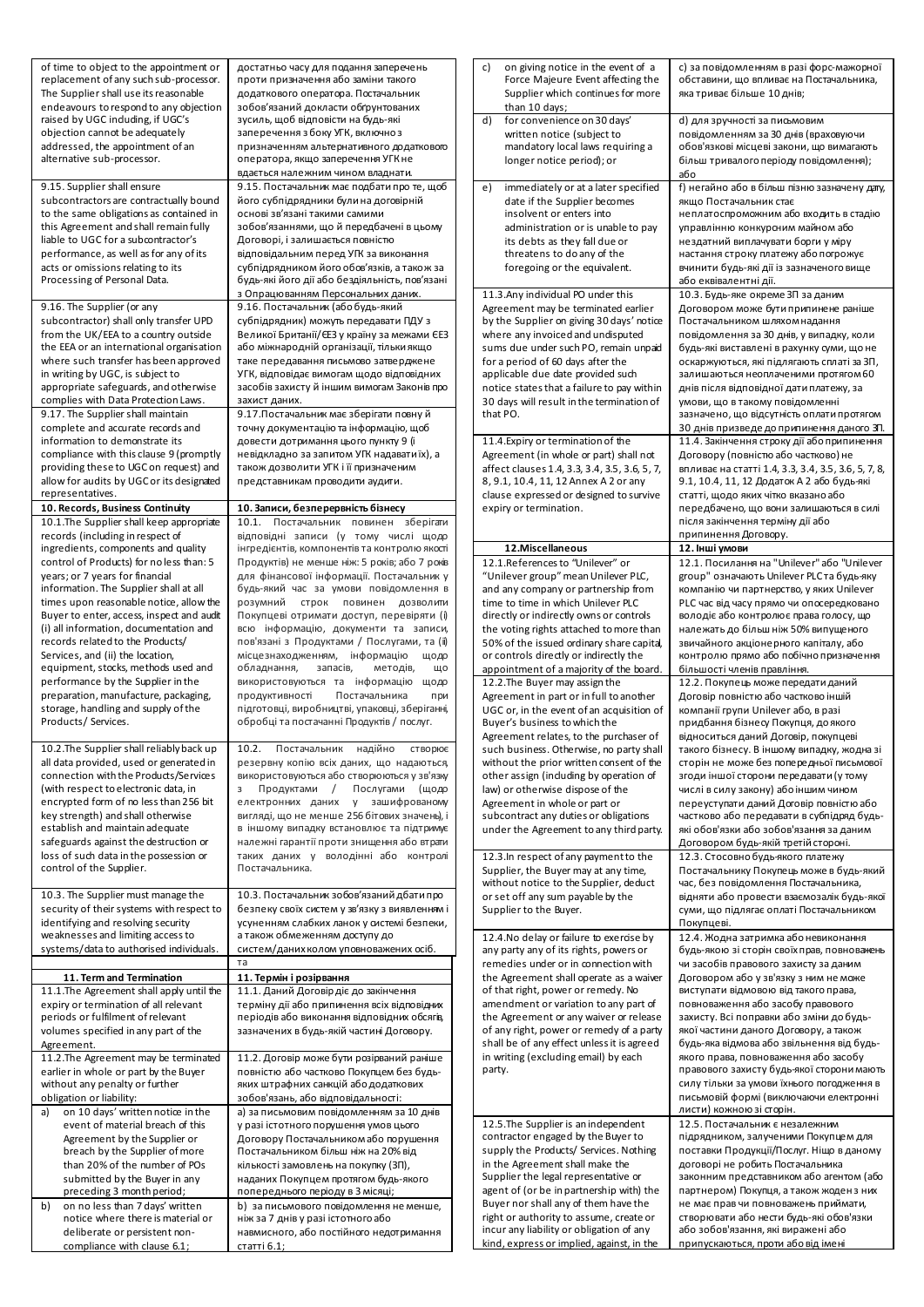| of time to object to the appointment or<br>replacement of any such sub-processor.<br>The Supplier shall use its reasonable<br>endeavours to respond to any objection<br>raised by UGC induding, if UGC's<br>objection cannot be adequately                                                                                                                                                                                         | достатньо часу для подання заперечень<br>проти призначення або заміни такого<br>додаткового оператора. Постачальник<br>зобов'язаний докласти обґрунтованих<br>зусиль, щоб відповісти на будь-які<br>заперечення з боку УГК, включно з                                                                                                                                                                                                                                                    | on giving notice in the event of a<br>C)<br>Force Majeure Event affecting the<br>Supplier which continues for more<br>than 10 days;<br>for convenience on 30 days'<br>d)<br>written notice (subject to                                                                                                                                                                                                                                                                                       | с) за повідомленням в разі форс-мажорної<br>обставини, що впливає на Постачальника,<br>яка триває більше 10 днів;<br>d) для зручності за письмовим<br>повідомленням за 30 днів (враховуючи                                                                                                                                                                                                                                                                                                                     |
|------------------------------------------------------------------------------------------------------------------------------------------------------------------------------------------------------------------------------------------------------------------------------------------------------------------------------------------------------------------------------------------------------------------------------------|------------------------------------------------------------------------------------------------------------------------------------------------------------------------------------------------------------------------------------------------------------------------------------------------------------------------------------------------------------------------------------------------------------------------------------------------------------------------------------------|----------------------------------------------------------------------------------------------------------------------------------------------------------------------------------------------------------------------------------------------------------------------------------------------------------------------------------------------------------------------------------------------------------------------------------------------------------------------------------------------|----------------------------------------------------------------------------------------------------------------------------------------------------------------------------------------------------------------------------------------------------------------------------------------------------------------------------------------------------------------------------------------------------------------------------------------------------------------------------------------------------------------|
| addressed, the appointment of an<br>alternative sub-processor.                                                                                                                                                                                                                                                                                                                                                                     | призначенням альтернативного додаткового<br>оператора, якщо заперечення УГК не<br>вдається належним чином владнати.                                                                                                                                                                                                                                                                                                                                                                      | mandatory local laws requiring a<br>longer notice period); or                                                                                                                                                                                                                                                                                                                                                                                                                                | обов'язкові місцеві закони, що вимагають<br>більш тривалого періоду повідомлення);<br>або                                                                                                                                                                                                                                                                                                                                                                                                                      |
| 9.15. Supplier shall ensure<br>subcontractors are contractually bound<br>to the same obligations as contained in<br>this Agreement and shall remain fully<br>liable to UGC for a subcontractor's<br>performance, as well as for any of its<br>acts or omissions relating to its<br>Processing of Personal Data.                                                                                                                    | 9.15. Постачальник має подбати про те, щоб<br>його субпідрядники були на договірній<br>основі зв'язані такими самими<br>зобов'язаннями, що й передбачені в цьому<br>Договорі, і залишається повністю<br>відповідальним перед УГК за виконання<br>субпідрядником його обов'язків, а також за<br>будь-які його дії або бездіяльність, пов'язані<br>з Опрацюванням Персональних даних.                                                                                                      | immediately or at a later specified<br>e)<br>date if the Supplier becomes<br>insolvent or enters into<br>administration or is unable to pay<br>its debts as they fall due or<br>threatens to do any of the<br>foregoing or the equivalent.<br>11.3. Any individual PO under this                                                                                                                                                                                                             | f) негайно або в більш пізню зазначену дату,<br>якщо Постачальник стає<br>неплатоспроможним або входить в стадію<br>управлінню конкурсним майном або<br>нездатний виплачувати борги у міру<br>настання строку платежу або погрожує<br>вчинити будь-які дії із зазначеного вище<br>або еквівалентні дії.<br>10.3. Будь-яке окреме ЗП за даним                                                                                                                                                                   |
| 9.16. The Supplier (or any<br>subcontractor) shall only transfer UPD<br>from the UK/EEA to a country outside<br>the EEA or an international organisation<br>where such transfer has been approved<br>in writing by UGC, is subject to<br>appropriate safeguards, and otherwise<br>complies with Data Protection Laws.<br>9.17. The Supplier shall maintain                                                                         | 9.16. Постачальник (або будь-який<br>субпідрядник) можуть передавати ПДУ з<br>Великої Британії/ЄЕЗ у країну за межами ЄЕЗ<br>або міжнародній організації, тільки якщо<br>таке передавання письмово затверджене<br>УГК, відповідає вимогам щодо відповідних<br>засобів захисту й іншим вимогам Законів про<br>захист даних.<br>9.17. Постачальник має зберігати повнуй                                                                                                                    | Agreement may be terminated earlier<br>by the Supplier on giving 30 days' notice<br>where any invoiced and undisputed<br>sums due under such PO, remain unpaid<br>for a period of 60 days after the<br>applicable due date provided such<br>notice states that a failure to pay within<br>30 days will result in the termination of<br>that PO.                                                                                                                                              | Договором може бути припинене раніше<br>Постачальником шляхом надання<br>повідомлення за 30 днів, у випадку, коли<br>будь-які виставлені в рахунку суми, що не<br>оскаржуються, які підлягають сплаті за ЗП,<br>залишаються неоплаченими протягом 60<br>днів після відповідної дати платежу, за<br>умови, що в такому повідомленні<br>зазначено, що відсутність оплати протягом                                                                                                                                |
| complete and accurate records and<br>information to demonstrate its<br>compliance with this clause 9 (promptly<br>providing these to UGC on request) and<br>allow for audits by UGC or its designated<br>representatives.<br>10. Records, Business Continuity<br>10.1. The Supplier shall keep appropriate                                                                                                                         | точну документацію та інформацію, щоб<br>довести дотримання цього пункту 9 (i<br>невідкладно за запитом УГК надавати їх), а<br>також дозволити УГК і її призначеним<br>представникам проводити аудити.<br>10. Записи, безперервність бізнесу<br>10.1. Постачальник повинен зберігати                                                                                                                                                                                                     | 11.4. Expiry or termination of the<br>Agreement (in whole or part) shall not<br>affect clauses 1.4, 3.3, 3.4, 3.5, 3.6, 5, 7,<br>8, 9.1, 10.4, 11, 12 Annex A 2 or any<br>clause expressed or designed to survive<br>expiry or termination.                                                                                                                                                                                                                                                  | 30 днів призведе до припинення даного ЗП.<br>11.4. Закінчення строку дії або припинення<br>Договору (повністю або частково) не<br>впливає на статті 1.4, 3.3, 3.4, 3.5, 3.6, 5, 7, 8,<br>9.1, 10.4, 11, 12 Додаток А 2 або будь-які<br>статті, щодо яких чітко вказано або<br>передбачено, що вони залишаються в силі<br>після закінчення терміну дії або                                                                                                                                                      |
| records (including in respect of<br>ingredients, components and quality                                                                                                                                                                                                                                                                                                                                                            | відповідні записи (у тому числі щодо<br>інгредієнтів, компонентів та контролю якості                                                                                                                                                                                                                                                                                                                                                                                                     | 12.Miscellaneous                                                                                                                                                                                                                                                                                                                                                                                                                                                                             | припинення Договору.<br>12. Інші умови                                                                                                                                                                                                                                                                                                                                                                                                                                                                         |
| control of Products) for noless than: 5<br>years; or 7 years for financial<br>information. The Supplier shall at all<br>times upon reasonable notice, allow the<br>Buyer to enter, access, inspect and audit<br>(i) all information, documentation and<br>records related to the Products/<br>Services, and (ii) the location,<br>equipment, stocks, methods used and                                                              | Продуктів) не менше ніж: 5 років; або 7 років<br>для фінансової інформації. Постачальник у<br>будь-який час за умови повідомлення в<br>розумний строк повинен дозволити<br>Покупцеві отримати доступ, перевіряти (і)<br>всю інформацію, документи та записи,<br>пов'язані з Продуктами / Послугами, та (і)<br>місцезнаходженням, інформацію<br>щодо<br>обладнання,<br>запасів,<br>методів,<br>що                                                                                         | 12.1.References to "Unilever" or<br>"Unilever group" mean Unilever PLC,<br>and any company or partnership from<br>time to time in which Unilever PLC<br>directly or indirectly owns or controls<br>the voting rights attached to more than<br>50% of the issued ordinary share capital,<br>or controls directly or indirectly the<br>appointment of a majority of the board.                                                                                                                 | 12.1. Посилання на "Unilever" або "Unilever<br>group" означають Unilever PLC та будь-яку<br>компанію чи партнерство, у яких Unilever<br>PLC час від часу прямо чи опосередковано<br>володіє або контролює права голосу, що<br>належать до більш ніж 50% випущеного<br>звичайного акціонерного капіталу, або<br>контролю прямо або побічно призначення<br>більшості членів правління.                                                                                                                           |
| performance by the Supplier in the<br>preparation, manufacture, packaging,<br>storage, handling and supply of the<br>Products/Services.<br>10.2. The Supplier shall reliably back up<br>all data provided, used or generated in<br>connection with the Products/Services<br>(with respect to electronic data, in<br>encrypted form of no less than 256 bit<br>key strength) and shall otherwise<br>establish and maintain adequate | використовуються та інформацію<br>щодо<br>продуктивності<br>Постачальника<br>при<br>підготовці, виробництві, упаковці, зберіганні,<br>обробці та постачанні Продуктів / послуг.<br>10.2. Постачальник надійно<br>створює<br>резервну копію всіх даних, що надаються,<br>використовуються або створюються у зв'язку<br>Продуктами / Послугами (щодо<br>3<br>електронних даних у зашифрованому<br>вигляді, що не менше 256 бітових значень), і<br>в іншому випадку встановлює та підтримує | 12.2. The Buyer may assign the<br>Agreement in part or in full to another<br>UGC or, in the event of an acquisition of<br>Buyer's business to which the<br>Agreement relates, to the purchaser of<br>such business. Otherwise, no party shall<br>without the prior written consent of the<br>other assign (induding by operation of<br>law) or otherwise dispose of the<br>Agreement in whole or part or<br>subcontract any duties or obligations<br>under the Agreement to any third party. | 12.2. Покупець може передати даний<br>Договір повністю або частково іншій<br>компанії групи Unilever або, в разі<br>придбання бізнесу Покупця, до якого<br>відноситься даний Договір, покупцеві<br>такого бізнесу. В іншому випадку, жодна зі<br>сторін не може без попередньої письмової<br>згоди іншої сторони передавати (у тому<br>числі в силу закону) або іншим чином<br>переуступати даний Договір повністю або<br>частково або передавати в субпідряд будь-<br>які обов'язки або зобов'язання за даним |
| safeguards against the destruction or<br>loss of such data in the possession or<br>control of the Supplier.                                                                                                                                                                                                                                                                                                                        | належні гарантії проти знищення або втрати<br>таких даних у володінні або контролі<br>Постачальника.                                                                                                                                                                                                                                                                                                                                                                                     | 12.3. In respect of any payment to the<br>Supplier, the Buyer may at any time,                                                                                                                                                                                                                                                                                                                                                                                                               | Договором будь-якій третій стороні.<br>12.3. Стосовно будь-якого платежу<br>Постачальнику Покупець може в будь-який                                                                                                                                                                                                                                                                                                                                                                                            |
| 10.3. The Supplier must manage the<br>security of their systems with respect to<br>identifying and resolving security<br>weaknesses and limiting access to                                                                                                                                                                                                                                                                         | 10.3. Постачальник зобов'язаний дбати про<br>безпеку своїх систем у зв'язку з виявленням і<br>усуненням слабких ланок у системі безпеки,<br>а також обмеженням доступу до                                                                                                                                                                                                                                                                                                                | without notice to the Supplier, deduct<br>or set off any sum payable by the<br>Supplier to the Buyer.<br>12.4. No delay or failure to exercise by                                                                                                                                                                                                                                                                                                                                            | час, без повідомлення Постачальника,<br>відняти або провести взаємозалік будь-якої<br>суми, що підлягає оплаті Постачальником<br>Покупцеві.<br>12.4. Жодна затримка або невиконання                                                                                                                                                                                                                                                                                                                            |
| systems/data to authorised individuals.                                                                                                                                                                                                                                                                                                                                                                                            | систем/даних колом уповноважених осіб.<br>та                                                                                                                                                                                                                                                                                                                                                                                                                                             | any party any of its rights, powers or                                                                                                                                                                                                                                                                                                                                                                                                                                                       | будь-якою зі сторін своїх прав, повноважень                                                                                                                                                                                                                                                                                                                                                                                                                                                                    |
| 11. Term and Termination<br>11.1. The Agreement shall apply until the<br>expiry or termination of all relevant<br>periods or fulfilment of relevant<br>volumes specified in any part of the<br>Agreement.<br>11.2. The Agreement may be terminated                                                                                                                                                                                 | 11. Термін і розірвання<br>11.1. Даний Договір діє до закінчення<br>терміну дії або припинення всіх відповідних<br>періодів або виконання відповідних обсягів,<br>зазначених в будь-якій частині Договору.<br>11.2. Договір може бути розірваний раніше                                                                                                                                                                                                                                  | remedies under or in connection with<br>the Agreement shall operate as a waiver<br>of that right, power or remedy. No<br>amendment or variation to any part of<br>the Agreement or any waiver or release<br>of any right, power or remedy of a party<br>shall be of any effect unless it is agreed<br>in writing (excluding email) by each                                                                                                                                                   | чи засобів правового захисту за даним<br>Договором або у зв'язку з ним не може<br>виступати відмовою від такого права,<br>повноваження або засобу правового<br>захисту. Всі поправки або зміни до будь-<br>якої частини даного Договору, а також<br>будь-яка відмова або звільнення від будь-<br>якого права, повноваження або засобу                                                                                                                                                                          |
| earlier in whole or part by the Buyer<br>without any penalty or further<br>obligation or liability:<br>on 10 days' written notice in the                                                                                                                                                                                                                                                                                           | повністю або частково Покупцем без будь-<br>яких штрафних санкцій абододаткових<br>зобов'язань, або відповідальності:<br>а) за письмовим повідомленням за 10 днів                                                                                                                                                                                                                                                                                                                        | party.                                                                                                                                                                                                                                                                                                                                                                                                                                                                                       | правового захисту будь-якої сторони мають<br>силу тільки за умови їхнього погодження в<br>письмовій формі (виключаючи електронні<br>листи) кожною зі сторін.                                                                                                                                                                                                                                                                                                                                                   |
| event of material breach of this<br>Agreement by the Supplier or<br>breach by the Supplier of more<br>than 20% of the number of POs<br>submitted by the Buyer in any<br>preceding 3 month period;<br>b)<br>on no less than 7 days' written                                                                                                                                                                                         | у разі істотного порушення умов цього<br>Договору Постачальником або порушення<br>Постачальником більш ніж на 20% від<br>кількості замовлень на покупку (ЗП),<br>наданих Покупцем протягом будь-якого<br>попереднього періоду в 3 місяці;<br>b) за письмового повідомлення не менше,                                                                                                                                                                                                     | 12.5. The Supplier is an independent<br>contractor engaged by the Buyer to<br>supply the Products/ Services. Nothing<br>in the Agreement shall make the<br>Supplier the legal representative or<br>agent of (or be in partnership with) the<br>Buyer nor shall any of them have the                                                                                                                                                                                                          | 12.5. Постачальник є незалежним<br>підрядником, залученими Покупцем для<br>поставки Продукції/Послуг. Ніщо в даному<br>договорі не робить Постачальника<br>законним представником або агентом (або<br>партнером) Покупця, а також жодензних<br>не має прав чи повноважень приймати,                                                                                                                                                                                                                            |
| notice where there is material or<br>deliberate or persistent non-<br>compliance with clause 6.1;                                                                                                                                                                                                                                                                                                                                  | ніж за 7 днів у разі істотного або<br>навмисного, або постійного недотримання<br><u>статті 6.1;</u>                                                                                                                                                                                                                                                                                                                                                                                      | right or authority to assume, create or<br>incur any liability or obligation of any<br>kind, express or implied, against, in the                                                                                                                                                                                                                                                                                                                                                             | створювати або нести будь-які обов'язки<br>або зобов'язання, які виражені або<br>припускаються, проти або від імені                                                                                                                                                                                                                                                                                                                                                                                            |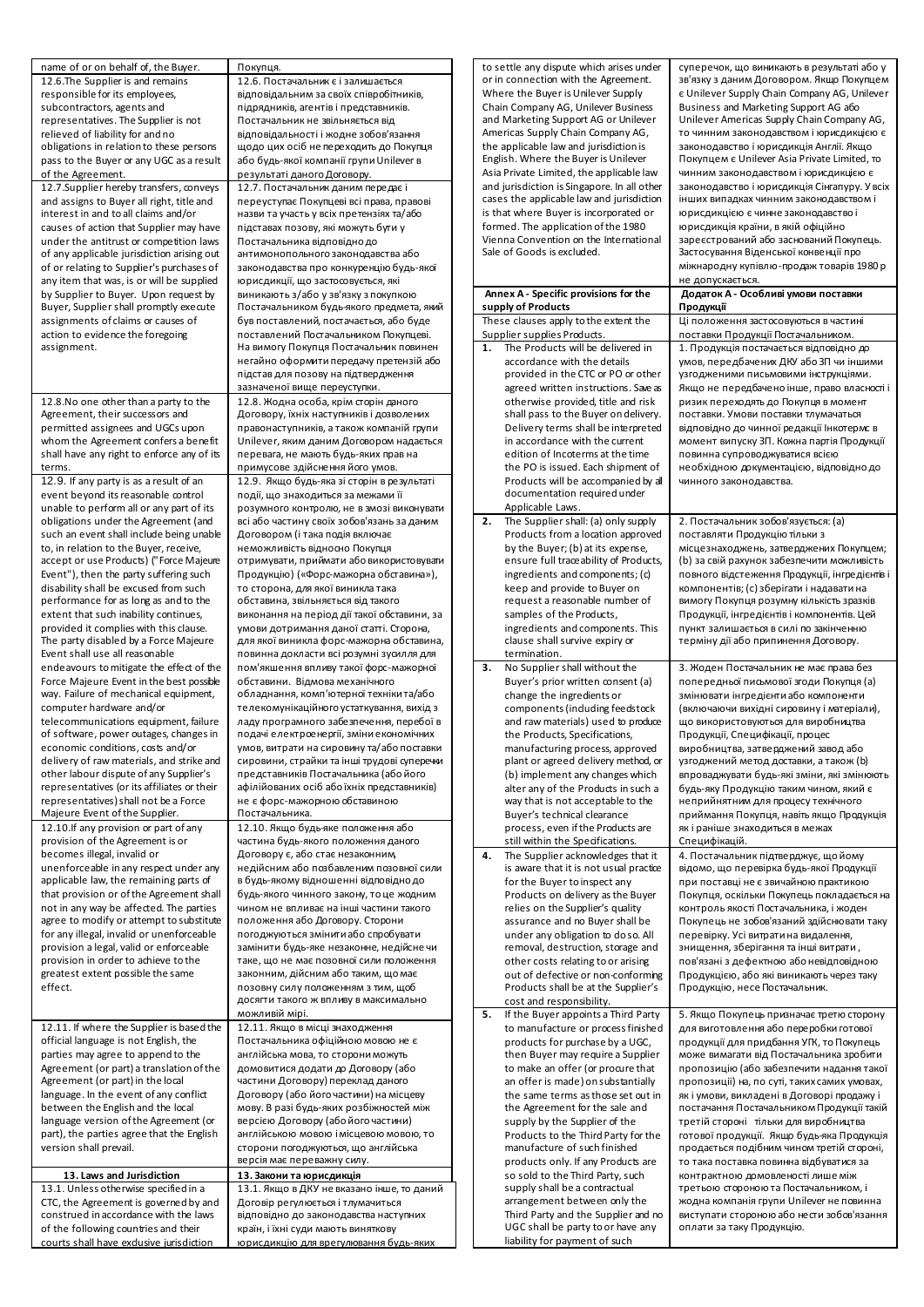| name of or on behalf of, the Buyer.                                          | Покупця.                                                                          | to settle any dispute which arises under                                    |
|------------------------------------------------------------------------------|-----------------------------------------------------------------------------------|-----------------------------------------------------------------------------|
| 12.6. The Supplier is and remains                                            | 12.6. Постачальник є і залишається                                                | or in connection with the Agreement.                                        |
| responsible for its employees,                                               | відповідальним за своїх співробітників,                                           | Where the Buyer is Unilever Supply                                          |
| subcontractors, agents and                                                   | підрядників, агентів і представників.                                             | Chain Company AG, Unilever Business<br>and Marketing Support AG or Unilever |
| representatives. The Supplier is not                                         | Постачальник не звільняється від                                                  | Americas Supply Chain Company AG,                                           |
| relieved of liability for and no<br>obligations in relation to these persons | відповідальності і жодне зобов'язання<br>щодо цих осіб не переходить до Покупця   | the applicable law and jurisdiction is                                      |
| pass to the Buyer or any UGC as a result                                     | або будь-якої компанії групи Unilever в                                           | English. Where the Buyer is Unilever                                        |
| of the Agreement.                                                            | результаті даного Договору.                                                       | Asia Private Limited, the applicable law                                    |
| 12.7. Supplier hereby transfers, conveys                                     | 12.7. Постачальник даним передає і                                                | and jurisdiction is Singapore. In all other                                 |
| and assigns to Buyer all right, title and                                    | переуступає Покупцеві всі права, правові                                          | cases the applicable law and jurisdiction                                   |
| interest in and to all claims and/or                                         | назви та участь у всіх претензіях та/або                                          | is that where Buyer is incorporated or                                      |
| causes of action that Supplier may have                                      | підставах позову, які можуть бути у                                               | formed. The application of the 1980                                         |
| under the antitrust or competition laws                                      | Постачальника відповідно до                                                       | Vienna Convention on the International                                      |
| of any applicable jurisdiction arising out                                   | антимонопольного законодавства або                                                | Sale of Goods is excluded.                                                  |
| of or relating to Supplier's purchases of                                    | законодавства про конкуренцію будь-якої                                           |                                                                             |
| any item that was, is or will be supplied                                    | юрисдикції, що застосовується, які                                                |                                                                             |
| by Supplier to Buyer. Upon request by                                        | виникають з/або у зв'язку з покупкою                                              | Annex A - Specific provisions for the                                       |
| Buyer, Supplier shall promptly execute                                       | Постачальником будь-якого предмета, який                                          | supply of Products                                                          |
| assignments of claims or causes of                                           | був поставлений, постачається, або буде                                           | These clauses apply to the extent the                                       |
| action to evidence the foregoing                                             | поставлений Постачальником Покупцеві.                                             | Supplier supplies Products.                                                 |
| assignment.                                                                  | На вимогу Покупця Постачальник повинен                                            | The Products will be delivered in<br>1.                                     |
|                                                                              | негайно оформити передачу претензій або                                           | accordance with the details                                                 |
|                                                                              | підстав для позову на підтвердження                                               | provided in the CTC or PO or other                                          |
|                                                                              | зазначеної вище переуступки.                                                      | agreed written instructions. Save as                                        |
| 12.8. No one other than a party to the                                       |                                                                                   | otherwise provided, title and risk                                          |
| Agreement, their successors and                                              | 12.8. Жодна особа, крім сторін даного<br>Договору, їхніх наступників і дозволених | shall pass to the Buyer on delivery.                                        |
| permitted assignees and UGCs upon                                            | правонаступників, а також компаній групи                                          | Delivery terms shall be interpreted                                         |
|                                                                              |                                                                                   |                                                                             |
| whom the Agreement confers a benefit                                         | Unilever, яким даним Договором надається<br>перевага, не мають будь-яких прав на  | in accordance with the current<br>edition of Incoterms at the time          |
| shall have any right to enforce any of its                                   |                                                                                   |                                                                             |
| terms.                                                                       | примусове здійснення його умов.                                                   | the PO is issued. Each shipment of                                          |
| 12.9. If any party is as a result of an                                      | 12.9. Якщо будь-яка зі сторін в результаті                                        | Products will be accompanied by all                                         |
| event beyond its reasonable control                                          | події, що знаходиться за межами її                                                | documentation required under                                                |
| unable to perform all or any part of its                                     | розумного контролю, не в змозі виконувати                                         | Applicable Laws.                                                            |
| obligations under the Agreement (and                                         | всі або частину своїх зобов'язань за даним                                        | 2.<br>The Supplier shall: (a) only supply                                   |
| such an event shall include being unable                                     | Договором (і така подія включає                                                   | Products from a location approved                                           |
| to, in relation to the Buyer, receive,                                       | неможливість відносно Покупця                                                     | by the Buyer; (b) at its expense,                                           |
| accept or use Products) ("Force Majeure                                      | отримувати, приймати або використовувати                                          | ensure full traceability of Products,                                       |
| Event"), then the party suffering such                                       | Продукцію) («Форс-мажорна обставина»),                                            | ingredients and components; (c)                                             |
| disability shall be excused from such                                        | то сторона, для якої виникла така                                                 | keep and provide to Buyer on                                                |
| performance for as long as and to the                                        | обставина, звільняється від такого                                                | request a reasonable number of                                              |
| extent that such inability continues,                                        | виконання на період дії такої обставини, за                                       | samples of the Products,                                                    |
| provided it complies with this clause.                                       | умови дотримання даної статті. Сторона,                                           | ingredients and components. This                                            |
| The party disabled by a Force Majeure                                        | для якої виникла форс-мажорна обставина,                                          | clause shall survive expiry or                                              |
| Event shall use all reasonable                                               | повинна докласти всі розумні зусилля для                                          | termination.                                                                |
| endeavours to mitigate the effect of the                                     | пом'якшення впливу такої форс-мажорної                                            | No Supplier shall without the<br>3.                                         |
| Force Majeure Event in the best possible                                     | обставини. Відмова механічного                                                    | Buyer's prior written consent (a)                                           |
| way. Failure of mechanical equipment,                                        | обладнання, комп'ютерної техніки та/або                                           | change the ingredients or                                                   |
| computer hardware and/or                                                     | телекомунікаційного устаткування, вихід з                                         | components (induding feedstock                                              |
| telecommunications equipment, failure                                        | ладу програмного забезпечення, перебої в                                          | and raw materials) used to produce                                          |
| of software, power outages, changes in                                       | подачі електроенергії, зміни економічних                                          | the Products, Specifications,                                               |
| economic conditions, costs and/or                                            | умов, витрати на сировину та/або поставки                                         | manufacturing process, approved                                             |
| delivery of raw materials, and strike and                                    | сировини, страйки та інші трудові суперечки                                       | plant or agreed delivery method, or                                         |
| other labour dispute of any Supplier's                                       | представників Постачальника (абойого                                              | (b) implement any changes which                                             |
| representatives (or its affiliates or their                                  | афілійованих осіб абоїхніх представників)                                         | alter any of the Products in such a                                         |
| representatives) shall not be a Force                                        | не є форс-мажорною обставиною                                                     | way that is not acceptable to the                                           |
| Majeure Event of the Supplier.                                               | Постачальника.                                                                    | Buyer's technical clearance                                                 |
| 12.10. If any provision or part of any                                       | 12.10. Якщо будь-яке положення або                                                | process, even if the Products are                                           |
| provision of the Agreement is or                                             | частина будь-якого положення даного                                               | still within the Specifications.                                            |
| becomes illegal, invalid or                                                  | Договору є, або стає незаконним,                                                  | The Supplier acknowledges that it<br>4.                                     |
| unenforceable in any respect under any                                       | недійсним або позбавленим позовної сили                                           | is aware that it is not usual practice                                      |
| applicable law, the remaining parts of                                       | в будь-якому відношенні відповідно до                                             | for the Buyer to inspect any                                                |
| that provision or of the Agreement shall                                     | будь-якого чинного закону, то це жодним                                           | Products on delivery as the Buyer                                           |
| not in any way be affected. The parties                                      | чином не впливає на інші частини такого                                           | relies on the Supplier's quality                                            |
| agree to modify or attempt to substitute                                     | положення або Договору. Сторони                                                   | assurance and no Buyer shall be                                             |
| for any illegal, invalid or unenforceable                                    | погоджуються змінити або спробувати                                               | under any obligation to doso. All                                           |
| provision a legal, valid or enforceable                                      | замінити будь-яке незаконне, недійсне чи                                          | removal, destruction, storage and                                           |
| provision in order to achieve to the                                         | таке, що не має позовної сили положення                                           | other costs relating to or arising                                          |
| greatest extent possible the same                                            | законним, дійсним або таким, що має                                               | out of defective or non-conforming                                          |
| effect.                                                                      | позовну силу положенням з тим, щоб                                                | Products shall be at the Supplier's                                         |
|                                                                              | досягти такого ж впливу в максимально                                             | cost and responsibility.                                                    |
|                                                                              | можливій мірі.                                                                    | If the Buyer appoints a Third Party<br>5.                                   |
| 12.11. If where the Supplier is based the                                    | 12.11. Якщо в місці знаходження                                                   | to manufacture or process finished                                          |
| official language is not English, the                                        | Постачальника офіційною мовою не є                                                | products for purchase by a UGC,                                             |
| parties may agree to append to the                                           | англійська мова, то сторони можуть                                                | then Buyer may require a Supplier                                           |
| Agreement (or part) a translation of the                                     | домовитися додати до Договору (або                                                | to make an offer (or procure that                                           |
| Agreement (or part) in the local                                             | частини Договору) переклад даного                                                 | an offer is made) on substantially                                          |
| language. In the event of any conflict                                       | Договору (або його частини) на місцеву                                            | the same terms as those set out in                                          |
| between the English and the local                                            | мову. В разі будь-яких розбіжностей між                                           | the Agreement for the sale and                                              |
| language version of the Agreement (or                                        | версією Договору (абойого частини)                                                | supply by the Supplier of the                                               |
| part), the parties agree that the English                                    |                                                                                   |                                                                             |
|                                                                              | англійською мовою і місцевою мовою, то                                            | Products to the Third Party for the                                         |
| version shall prevail.                                                       | сторони погоджуються, що англійська                                               | manufacture of such finished                                                |
|                                                                              | версія має переважну силу.                                                        | products only. If any Products are                                          |
| 13. Laws and Jurisdiction                                                    | 13. Закони та юрисдикція                                                          | so sold to the Third Party, such                                            |
| 13.1. Unless otherwise specified in a                                        | 13.1. Якщо в ДКУ не вказано інше, то даний                                        | supply shall be a contractual                                               |
| CTC, the Agreement is governed by and                                        | Договір регулюється і тлумачиться                                                 | arrangement between only the                                                |
| construed in accordance with the laws                                        | відповідно до законодавства наступних                                             | Third Party and the Supplier and no                                         |
| of the following countries and their                                         | країн, і їхні суди мають виняткову                                                | UGC shall be party to or have any<br>liability for payment of such          |

суперечок, що виникають в результаті або у зв'язку з даним Договором. Якщо Покупцем є Unilever Supply Chain Company AG, Unilever Business and Marketing Support AG або Unilever Americas Supply Chain Company AG, то чинним законодавством і юрисдикцією є законодавство і юрисдикція Англії. Якщо Покупцем є Unilever Asia Private Limited, то чинним законодавством і юрисдикцією є законодавство і юрисдикція Сінгапуру. У всіх інших випадках чинним законодавством і юрисдикцією є чинне законодавство і юрисдикція країни, в якій офіційно зареєстрований або заснований Покупець. Застосування Віденської конвенції про міжнародну купівлю-продаж товарів 1980 р не допускається. **Додаток A - Особливі умови поставки Продукції** Ці положення застосовуються в частині поставки Продукції Постачальником. 1. Продукція постачається відповідно до умов, передбачених ДКУ або ЗП чи іншими узгодженими письмовими інструкціями. Якщо не передбачено інше, право власності і ризик переходять до Покупця в момент поставки. Умови поставки тлумачаться відповідно до чинної редакції Інкотермс в момент випуску ЗП. Кожна партія Продукції повинна супроводжуватися всією необхідною документацією, відповідно до чинного законодавства. 2. Постачальник зобов'язується: (a) поставляти Продукцію тільки з місцезнаходжень, затверджених Покупцем; (b) за свій рахунок забезпечити можливість повного відстеження Продукції, інгредієнтів і компонентів; (c) зберігати і надавати на вимогу Покупця розумну кількість зразків Продукції, інгредієнтів і компонентів. Цей пункт залишається в силі по закінченню терміну дії або припинення Договору. 3. Жоден Постачальник не має права без попередньої письмової згоди Покупця (a) змінювати інгредієнти або компоненти (включаючи вихідні сировину і матеріали), що використовуються для виробництва Продукції, Специфікації, процес виробництва, затверджений завод або узгоджений метод доставки, а також (b) впроваджувати будь-які зміни, які змінюють будь-яку Продукцію таким чином, який є неприйнятним для процесу технічного приймання Покупця, навіть якщо Продукція як і раніше знаходиться в межах Специфікацій. 4. Постачальник підтверджує, що йому відомо, що перевірка будь-якої Продукції при поставці не є звичайною практикою Покупця, оскільки Покупець покладається на контроль якості Постачальника, і жоден Покупець не зобов'язаний здійснювати таку перевірку. Усі витрати на видалення, знищення, зберігання та інші витрати , пов'язані з дефектною або невідповідною Продукцією, або які виникають через таку Продукцію, несе Постачальник. 5. Якщо Покупець призначає третю сторону для виготовлення або переробки готової продукції для придбання УГК, то Покупець може вимагати від Постачальника зробити пропозицію (або забезпечити надання такої пропозиції) на, по суті, таких самих умовах, як і умови, викладені в Договорі продажу і постачання Постачальником Продукції такій третій стороні тільки для виробництва готової продукції. Якщо будь-яка Продукція продається подібним чином третій стороні, то така поставка повинна відбуватися за контрактною домовленості лише між третьою стороною та Постачальником, і жодна компанія групи Unilever не повинна

виступати стороною або нести зобов'язання

оплати за таку Продукцію.